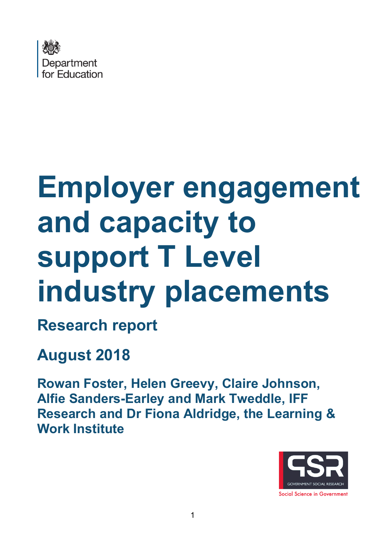

# **Employer engagement and capacity to support T Level industry placements**

**Research report**

# **August 2018**

**Rowan Foster, Helen Greevy, Claire Johnson, Alfie Sanders-Earley and Mark Tweddle, IFF Research and Dr Fiona Aldridge, the Learning & Work Institute**

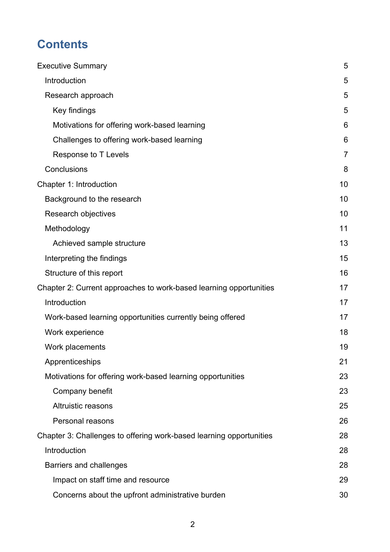# **Contents**

| <b>Executive Summary</b>                                            | 5              |
|---------------------------------------------------------------------|----------------|
| Introduction                                                        | 5              |
| Research approach                                                   | 5              |
| Key findings                                                        | 5              |
| Motivations for offering work-based learning                        | 6              |
| Challenges to offering work-based learning                          | 6              |
| Response to T Levels                                                | $\overline{7}$ |
| Conclusions                                                         | 8              |
| Chapter 1: Introduction                                             | 10             |
| Background to the research                                          | 10             |
| Research objectives                                                 | 10             |
| Methodology                                                         | 11             |
| Achieved sample structure                                           | 13             |
| Interpreting the findings                                           | 15             |
| Structure of this report                                            | 16             |
| Chapter 2: Current approaches to work-based learning opportunities  | 17             |
| Introduction                                                        | 17             |
| Work-based learning opportunities currently being offered           | 17             |
| Work experience                                                     | 18             |
| Work placements                                                     | 19             |
| Apprenticeships                                                     | 21             |
| Motivations for offering work-based learning opportunities          | 23             |
| Company benefit                                                     | 23             |
| <b>Altruistic reasons</b>                                           | 25             |
| Personal reasons                                                    | 26             |
| Chapter 3: Challenges to offering work-based learning opportunities | 28             |
| Introduction                                                        | 28             |
| <b>Barriers and challenges</b>                                      | 28             |
| Impact on staff time and resource                                   | 29             |
| Concerns about the upfront administrative burden                    | 30             |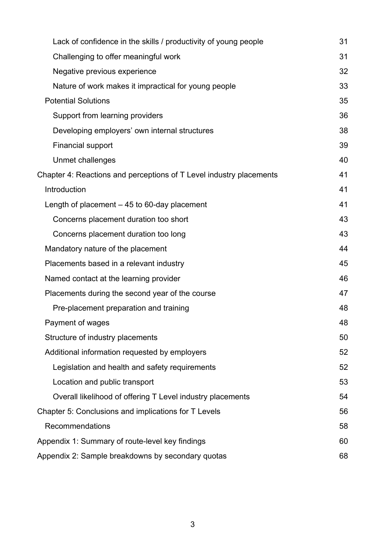| Lack of confidence in the skills / productivity of young people     | 31 |
|---------------------------------------------------------------------|----|
| Challenging to offer meaningful work                                | 31 |
| Negative previous experience                                        | 32 |
| Nature of work makes it impractical for young people                | 33 |
| <b>Potential Solutions</b>                                          | 35 |
| Support from learning providers                                     | 36 |
| Developing employers' own internal structures                       | 38 |
| <b>Financial support</b>                                            | 39 |
| Unmet challenges                                                    | 40 |
| Chapter 4: Reactions and perceptions of T Level industry placements | 41 |
| Introduction                                                        | 41 |
| Length of placement $-45$ to 60-day placement                       | 41 |
| Concerns placement duration too short                               | 43 |
| Concerns placement duration too long                                | 43 |
| Mandatory nature of the placement                                   | 44 |
| Placements based in a relevant industry                             | 45 |
| Named contact at the learning provider                              | 46 |
| Placements during the second year of the course                     | 47 |
| Pre-placement preparation and training                              | 48 |
| Payment of wages                                                    | 48 |
| Structure of industry placements                                    | 50 |
| Additional information requested by employers                       | 52 |
| Legislation and health and safety requirements                      | 52 |
| Location and public transport                                       | 53 |
| Overall likelihood of offering T Level industry placements          | 54 |
| Chapter 5: Conclusions and implications for T Levels                | 56 |
| Recommendations                                                     | 58 |
| Appendix 1: Summary of route-level key findings                     | 60 |
| Appendix 2: Sample breakdowns by secondary quotas                   | 68 |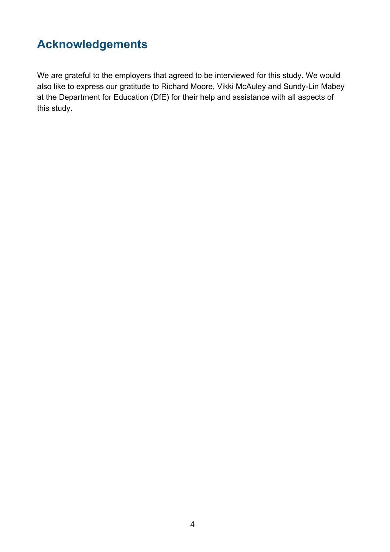# **Acknowledgements**

We are grateful to the employers that agreed to be interviewed for this study. We would also like to express our gratitude to Richard Moore, Vikki McAuley and Sundy-Lin Mabey at the Department for Education (DfE) for their help and assistance with all aspects of this study.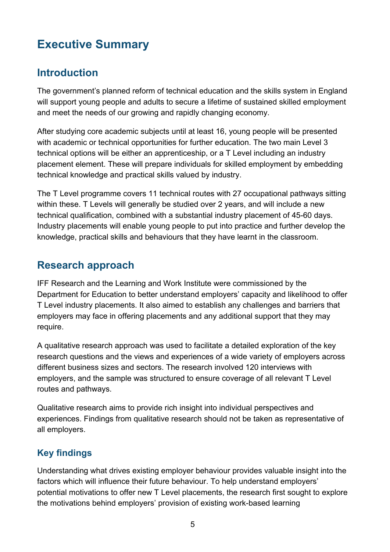# <span id="page-4-0"></span>**Executive Summary**

# <span id="page-4-1"></span>**Introduction**

The government's planned reform of technical education and the skills system in England will support young people and adults to secure a lifetime of sustained skilled employment and meet the needs of our growing and rapidly changing economy.

After studying core academic subjects until at least 16, young people will be presented with academic or technical opportunities for further education. The two main Level 3 technical options will be either an apprenticeship, or a T Level including an industry placement element. These will prepare individuals for skilled employment by embedding technical knowledge and practical skills valued by industry.

The T Level programme covers 11 technical routes with 27 occupational pathways sitting within these. T Levels will generally be studied over 2 years, and will include a new technical qualification, combined with a substantial industry placement of 45-60 days. Industry placements will enable young people to put into practice and further develop the knowledge, practical skills and behaviours that they have learnt in the classroom.

# <span id="page-4-2"></span>**Research approach**

IFF Research and the Learning and Work Institute were commissioned by the Department for Education to better understand employers' capacity and likelihood to offer T Level industry placements. It also aimed to establish any challenges and barriers that employers may face in offering placements and any additional support that they may require.

A qualitative research approach was used to facilitate a detailed exploration of the key research questions and the views and experiences of a wide variety of employers across different business sizes and sectors. The research involved 120 interviews with employers, and the sample was structured to ensure coverage of all relevant T Level routes and pathways.

Qualitative research aims to provide rich insight into individual perspectives and experiences. Findings from qualitative research should not be taken as representative of all employers.

# <span id="page-4-3"></span>**Key findings**

Understanding what drives existing employer behaviour provides valuable insight into the factors which will influence their future behaviour. To help understand employers' potential motivations to offer new T Level placements, the research first sought to explore the motivations behind employers' provision of existing work-based learning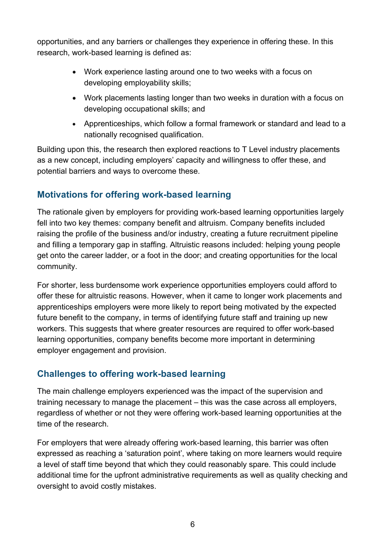opportunities, and any barriers or challenges they experience in offering these. In this research, work-based learning is defined as:

- Work experience lasting around one to two weeks with a focus on developing employability skills;
- Work placements lasting longer than two weeks in duration with a focus on developing occupational skills; and
- Apprenticeships, which follow a formal framework or standard and lead to a nationally recognised qualification.

Building upon this, the research then explored reactions to T Level industry placements as a new concept, including employers' capacity and willingness to offer these, and potential barriers and ways to overcome these.

# <span id="page-5-0"></span>**Motivations for offering work-based learning**

The rationale given by employers for providing work-based learning opportunities largely fell into two key themes: company benefit and altruism. Company benefits included raising the profile of the business and/or industry, creating a future recruitment pipeline and filling a temporary gap in staffing. Altruistic reasons included: helping young people get onto the career ladder, or a foot in the door; and creating opportunities for the local community.

For shorter, less burdensome work experience opportunities employers could afford to offer these for altruistic reasons. However, when it came to longer work placements and apprenticeships employers were more likely to report being motivated by the expected future benefit to the company, in terms of identifying future staff and training up new workers. This suggests that where greater resources are required to offer work-based learning opportunities, company benefits become more important in determining employer engagement and provision.

# <span id="page-5-1"></span>**Challenges to offering work-based learning**

The main challenge employers experienced was the impact of the supervision and training necessary to manage the placement – this was the case across all employers, regardless of whether or not they were offering work-based learning opportunities at the time of the research.

For employers that were already offering work-based learning, this barrier was often expressed as reaching a 'saturation point', where taking on more learners would require a level of staff time beyond that which they could reasonably spare. This could include additional time for the upfront administrative requirements as well as quality checking and oversight to avoid costly mistakes.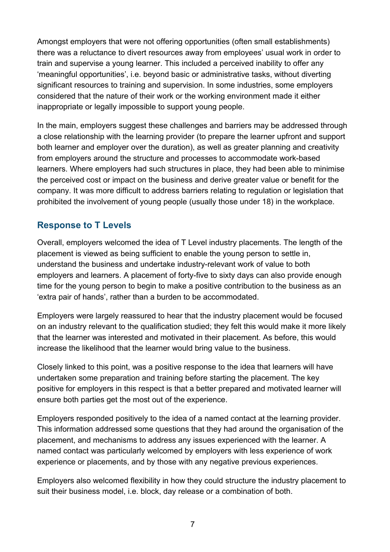Amongst employers that were not offering opportunities (often small establishments) there was a reluctance to divert resources away from employees' usual work in order to train and supervise a young learner. This included a perceived inability to offer any 'meaningful opportunities', i.e. beyond basic or administrative tasks, without diverting significant resources to training and supervision. In some industries, some employers considered that the nature of their work or the working environment made it either inappropriate or legally impossible to support young people.

In the main, employers suggest these challenges and barriers may be addressed through a close relationship with the learning provider (to prepare the learner upfront and support both learner and employer over the duration), as well as greater planning and creativity from employers around the structure and processes to accommodate work-based learners. Where employers had such structures in place, they had been able to minimise the perceived cost or impact on the business and derive greater value or benefit for the company. It was more difficult to address barriers relating to regulation or legislation that prohibited the involvement of young people (usually those under 18) in the workplace.

### <span id="page-6-0"></span>**Response to T Levels**

Overall, employers welcomed the idea of T Level industry placements. The length of the placement is viewed as being sufficient to enable the young person to settle in, understand the business and undertake industry-relevant work of value to both employers and learners. A placement of forty-five to sixty days can also provide enough time for the young person to begin to make a positive contribution to the business as an 'extra pair of hands', rather than a burden to be accommodated.

Employers were largely reassured to hear that the industry placement would be focused on an industry relevant to the qualification studied; they felt this would make it more likely that the learner was interested and motivated in their placement. As before, this would increase the likelihood that the learner would bring value to the business.

Closely linked to this point, was a positive response to the idea that learners will have undertaken some preparation and training before starting the placement. The key positive for employers in this respect is that a better prepared and motivated learner will ensure both parties get the most out of the experience.

Employers responded positively to the idea of a named contact at the learning provider. This information addressed some questions that they had around the organisation of the placement, and mechanisms to address any issues experienced with the learner. A named contact was particularly welcomed by employers with less experience of work experience or placements, and by those with any negative previous experiences.

Employers also welcomed flexibility in how they could structure the industry placement to suit their business model, i.e. block, day release or a combination of both.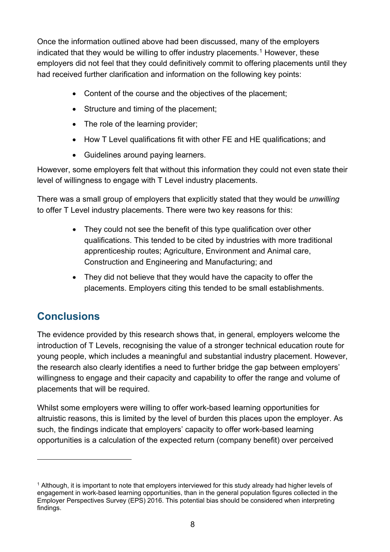Once the information outlined above had been discussed, many of the employers indicated that they would be willing to offer industry placements.<sup>[1](#page-7-1)</sup> However, these employers did not feel that they could definitively commit to offering placements until they had received further clarification and information on the following key points:

- Content of the course and the objectives of the placement;
- Structure and timing of the placement;
- The role of the learning provider;
- How T Level qualifications fit with other FE and HE qualifications; and
- Guidelines around paying learners.

However, some employers felt that without this information they could not even state their level of willingness to engage with T Level industry placements.

There was a small group of employers that explicitly stated that they would be *unwilling* to offer T Level industry placements. There were two key reasons for this:

- They could not see the benefit of this type qualification over other qualifications. This tended to be cited by industries with more traditional apprenticeship routes; Agriculture, Environment and Animal care, Construction and Engineering and Manufacturing; and
- They did not believe that they would have the capacity to offer the placements. Employers citing this tended to be small establishments.

# <span id="page-7-0"></span>**Conclusions**

 $\overline{a}$ 

The evidence provided by this research shows that, in general, employers welcome the introduction of T Levels, recognising the value of a stronger technical education route for young people, which includes a meaningful and substantial industry placement. However, the research also clearly identifies a need to further bridge the gap between employers' willingness to engage and their capacity and capability to offer the range and volume of placements that will be required.

Whilst some employers were willing to offer work-based learning opportunities for altruistic reasons, this is limited by the level of burden this places upon the employer. As such, the findings indicate that employers' capacity to offer work-based learning opportunities is a calculation of the expected return (company benefit) over perceived

<span id="page-7-1"></span><sup>&</sup>lt;sup>1</sup> Although, it is important to note that employers interviewed for this study already had higher levels of engagement in work-based learning opportunities, than in the general population figures collected in the Employer Perspectives Survey (EPS) 2016. This potential bias should be considered when interpreting findings.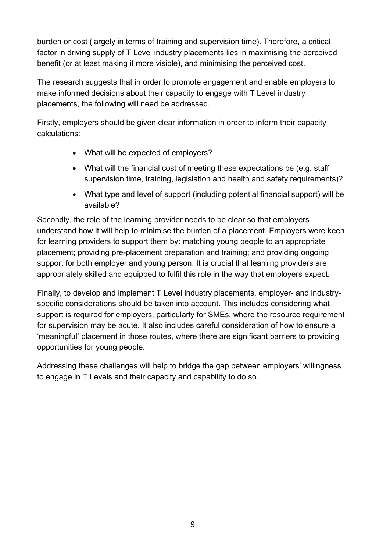burden or cost (largely in terms of training and supervision time). Therefore, a critical factor in driving supply of T Level industry placements lies in maximising the perceived benefit (or at least making it more visible), and minimising the perceived cost.

The research suggests that in order to promote engagement and enable employers to make informed decisions about their capacity to engage with T Level industry placements, the following will need be addressed.

Firstly, employers should be given clear information in order to inform their capacity calculations:

- What will be expected of employers?
- What will the financial cost of meeting these expectations be (e.g. staff supervision time, training, legislation and health and safety requirements)?
- What type and level of support (including potential financial support) will be available?

Secondly, the role of the learning provider needs to be clear so that employers understand how it will help to minimise the burden of a placement. Employers were keen for learning providers to support them by: matching young people to an appropriate placement; providing pre-placement preparation and training; and providing ongoing support for both employer and young person. It is crucial that learning providers are appropriately skilled and equipped to fulfil this role in the way that employers expect.

Finally, to develop and implement T Level industry placements, employer- and industryspecific considerations should be taken into account. This includes considering what support is required for employers, particularly for SMEs, where the resource requirement for supervision may be acute. It also includes careful consideration of how to ensure a 'meaningful' placement in those routes, where there are significant barriers to providing opportunities for young people.

Addressing these challenges will help to bridge the gap between employers' willingness to engage in T Levels and their capacity and capability to do so.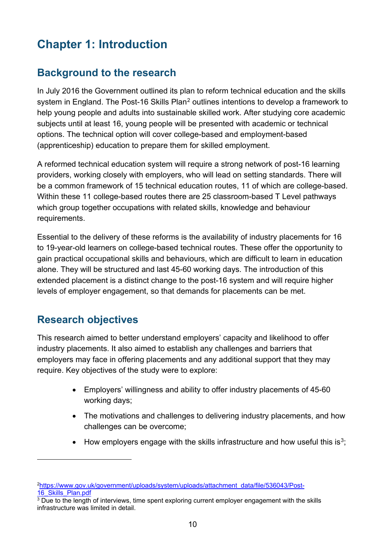# <span id="page-9-0"></span>**Chapter 1: Introduction**

# <span id="page-9-1"></span>**Background to the research**

In July 2016 the Government outlined its plan to reform technical education and the skills system in England. The Post-16 Skills Plan<sup>[2](#page-9-3)</sup> outlines intentions to develop a framework to help young people and adults into sustainable skilled work. After studying core academic subjects until at least 16, young people will be presented with academic or technical options. The technical option will cover college-based and employment-based (apprenticeship) education to prepare them for skilled employment.

A reformed technical education system will require a strong network of post-16 learning providers, working closely with employers, who will lead on setting standards. There will be a common framework of 15 technical education routes, 11 of which are college-based. Within these 11 college-based routes there are 25 classroom-based T Level pathways which group together occupations with related skills, knowledge and behaviour requirements.

Essential to the delivery of these reforms is the availability of industry placements for 16 to 19-year-old learners on college-based technical routes. These offer the opportunity to gain practical occupational skills and behaviours, which are difficult to learn in education alone. They will be structured and last 45-60 working days. The introduction of this extended placement is a distinct change to the post-16 system and will require higher levels of employer engagement, so that demands for placements can be met.

# <span id="page-9-2"></span>**Research objectives**

 $\overline{a}$ 

This research aimed to better understand employers' capacity and likelihood to offer industry placements. It also aimed to establish any challenges and barriers that employers may face in offering placements and any additional support that they may require. Key objectives of the study were to explore:

- Employers' willingness and ability to offer industry placements of 45-60 working days;
- The motivations and challenges to delivering industry placements, and how challenges can be overcome;
- How employers engage with the skills infrastructure and how useful this is<sup>3</sup>;

<span id="page-9-3"></span>[<sup>2</sup>https://www.gov.uk/government/uploads/system/uploads/attachment\\_data/file/536043/Post-](https://www.gov.uk/government/uploads/system/uploads/attachment_data/file/536043/Post-16_Skills_Plan.pdf)16 Skills Plan.pdf

<span id="page-9-4"></span> $3$  Due to the length of interviews, time spent exploring current employer engagement with the skills infrastructure was limited in detail.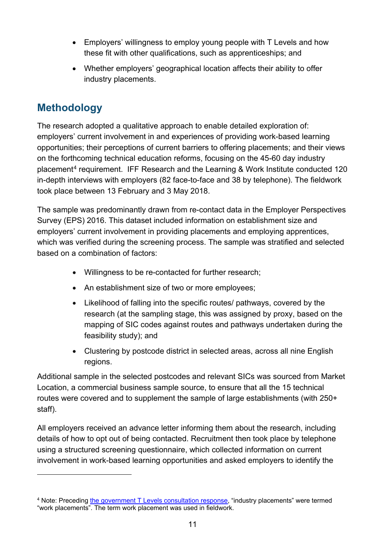- Employers' willingness to employ young people with T Levels and how these fit with other qualifications, such as apprenticeships; and
- Whether employers' geographical location affects their ability to offer industry placements.

# <span id="page-10-0"></span>**Methodology**

 $\overline{a}$ 

The research adopted a qualitative approach to enable detailed exploration of: employers' current involvement in and experiences of providing work-based learning opportunities; their perceptions of current barriers to offering placements; and their views on the forthcoming technical education reforms, focusing on the 45-60 day industry placement[4](#page-10-1) requirement. IFF Research and the Learning & Work Institute conducted 120 in-depth interviews with employers (82 face-to-face and 38 by telephone). The fieldwork took place between 13 February and 3 May 2018.

The sample was predominantly drawn from re-contact data in the Employer Perspectives Survey (EPS) 2016. This dataset included information on establishment size and employers' current involvement in providing placements and employing apprentices, which was verified during the screening process. The sample was stratified and selected based on a combination of factors:

- Willingness to be re-contacted for further research;
- An establishment size of two or more employees;
- Likelihood of falling into the specific routes/ pathways, covered by the research (at the sampling stage, this was assigned by proxy, based on the mapping of SIC codes against routes and pathways undertaken during the feasibility study); and
- Clustering by postcode district in selected areas, across all nine English regions.

Additional sample in the selected postcodes and relevant SICs was sourced from Market Location, a commercial business sample source, to ensure that all the 15 technical routes were covered and to supplement the sample of large establishments (with 250+ staff).

All employers received an advance letter informing them about the research, including details of how to opt out of being contacted. Recruitment then took place by telephone using a structured screening questionnaire, which collected information on current involvement in work-based learning opportunities and asked employers to identify the

<span id="page-10-1"></span><sup>4</sup> Note: Preceding [the government T Levels](https://assets.publishing.service.gov.uk/government/uploads/system/uploads/attachment_data/file/711472/Implementation_of_T_Level_programmes-Government_consultation_response.pdf) consultation response, "industry placements" were termed "work placements". The term work placement was used in fieldwork.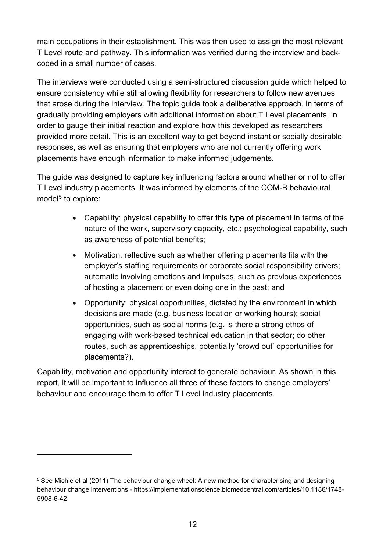main occupations in their establishment. This was then used to assign the most relevant T Level route and pathway. This information was verified during the interview and backcoded in a small number of cases.

The interviews were conducted using a semi-structured discussion guide which helped to ensure consistency while still allowing flexibility for researchers to follow new avenues that arose during the interview. The topic guide took a deliberative approach, in terms of gradually providing employers with additional information about T Level placements, in order to gauge their initial reaction and explore how this developed as researchers provided more detail. This is an excellent way to get beyond instant or socially desirable responses, as well as ensuring that employers who are not currently offering work placements have enough information to make informed judgements.

The guide was designed to capture key influencing factors around whether or not to offer T Level industry placements. It was informed by elements of the COM-B behavioural model<sup>[5](#page-11-0)</sup> to explore:

- Capability: physical capability to offer this type of placement in terms of the nature of the work, supervisory capacity, etc.; psychological capability, such as awareness of potential benefits;
- Motivation: reflective such as whether offering placements fits with the employer's staffing requirements or corporate social responsibility drivers; automatic involving emotions and impulses, such as previous experiences of hosting a placement or even doing one in the past; and
- Opportunity: physical opportunities, dictated by the environment in which decisions are made (e.g. business location or working hours); social opportunities, such as social norms (e.g. is there a strong ethos of engaging with work-based technical education in that sector; do other routes, such as apprenticeships, potentially 'crowd out' opportunities for placements?).

Capability, motivation and opportunity interact to generate behaviour. As shown in this report, it will be important to influence all three of these factors to change employers' behaviour and encourage them to offer T Level industry placements.

 $\overline{a}$ 

<span id="page-11-0"></span><sup>5</sup> See Michie et al (2011) The behaviour change wheel: A new method for characterising and designing behaviour change interventions - https://implementationscience.biomedcentral.com/articles/10.1186/1748- 5908-6-42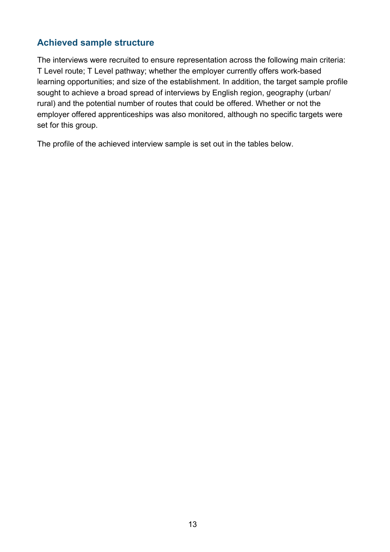### <span id="page-12-0"></span>**Achieved sample structure**

The interviews were recruited to ensure representation across the following main criteria: T Level route; T Level pathway; whether the employer currently offers work-based learning opportunities; and size of the establishment. In addition, the target sample profile sought to achieve a broad spread of interviews by English region, geography (urban/ rural) and the potential number of routes that could be offered. Whether or not the employer offered apprenticeships was also monitored, although no specific targets were set for this group.

The profile of the achieved interview sample is set out in the tables below.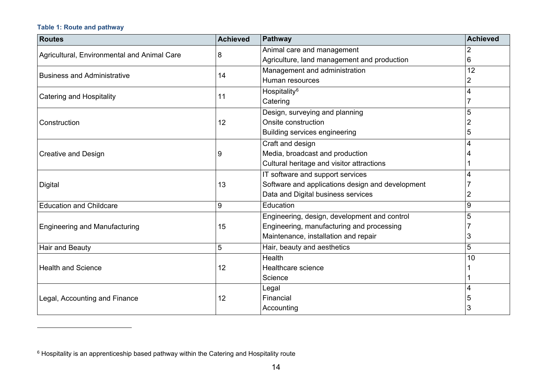#### <span id="page-13-0"></span>**Table 1: Route and pathway**

 $\overline{a}$ 

| <b>Routes</b>                               | <b>Achieved</b> | Pathway                                          | Achieved |
|---------------------------------------------|-----------------|--------------------------------------------------|----------|
| Agricultural, Environmental and Animal Care | 8               | Animal care and management                       |          |
|                                             |                 | Agriculture, land management and production      | 6        |
| <b>Business and Administrative</b>          | 14              | Management and administration                    | 12       |
|                                             |                 | Human resources                                  | 2        |
| <b>Catering and Hospitality</b>             | 11              | Hospitality <sup>6</sup>                         | 4        |
|                                             |                 | Catering                                         |          |
|                                             |                 | Design, surveying and planning                   | 5        |
| Construction                                | 12              | Onsite construction                              |          |
|                                             |                 | <b>Building services engineering</b>             | 5        |
|                                             |                 | Craft and design                                 |          |
| <b>Creative and Design</b>                  | 9               | Media, broadcast and production                  |          |
|                                             |                 | Cultural heritage and visitor attractions        |          |
|                                             |                 | IT software and support services                 |          |
| Digital                                     | 13              | Software and applications design and development |          |
|                                             |                 | Data and Digital business services               |          |
| <b>Education and Childcare</b>              | 9               | Education                                        | 9        |
|                                             |                 | Engineering, design, development and control     | 5        |
| <b>Engineering and Manufacturing</b>        | 15              | Engineering, manufacturing and processing        |          |
|                                             |                 | Maintenance, installation and repair             | 3        |
| Hair and Beauty                             | 5               | Hair, beauty and aesthetics                      | 5        |
|                                             |                 | Health                                           | 10       |
| <b>Health and Science</b>                   | 12              | Healthcare science                               |          |
|                                             |                 | Science                                          |          |
|                                             |                 | Legal                                            |          |
| Legal, Accounting and Finance               | 12              | Financial                                        | 5        |
|                                             |                 | Accounting                                       | 3        |

 $6$  Hospitality is an apprenticeship based pathway within the Catering and Hospitality route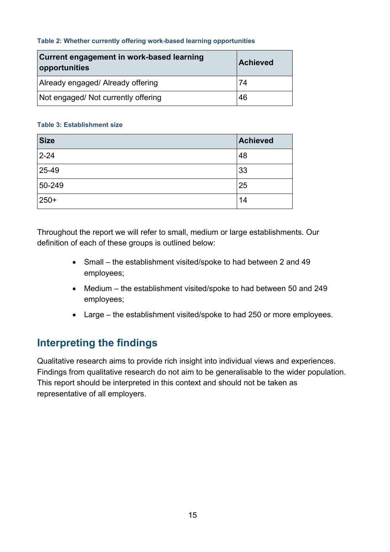#### **Table 2: Whether currently offering work-based learning opportunities**

| Current engagement in work-based learning<br>opportunities | Achieved |
|------------------------------------------------------------|----------|
| Already engaged/ Already offering                          | 74       |
| Not engaged/ Not currently offering                        | 46       |

#### **Table 3: Establishment size**

| <b>Size</b> | <b>Achieved</b> |
|-------------|-----------------|
| $2 - 24$    | 48              |
| 25-49       | 33              |
| 50-249      | 25              |
| 250+        | 14              |

Throughout the report we will refer to small, medium or large establishments. Our definition of each of these groups is outlined below:

- Small the establishment visited/spoke to had between 2 and 49 employees;
- Medium the establishment visited/spoke to had between 50 and 249 employees;
- Large the establishment visited/spoke to had 250 or more employees.

# <span id="page-14-0"></span>**Interpreting the findings**

Qualitative research aims to provide rich insight into individual views and experiences. Findings from qualitative research do not aim to be generalisable to the wider population. This report should be interpreted in this context and should not be taken as representative of all employers.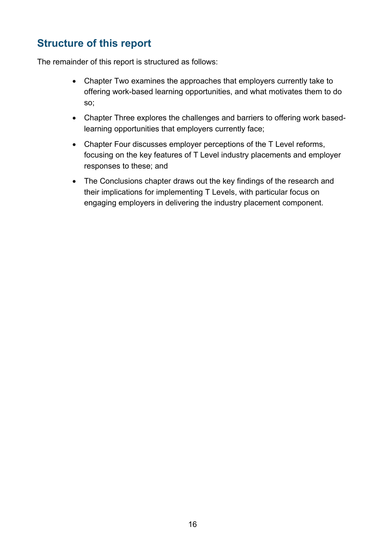# <span id="page-15-0"></span>**Structure of this report**

The remainder of this report is structured as follows:

- Chapter Two examines the approaches that employers currently take to offering work-based learning opportunities, and what motivates them to do so;
- Chapter Three explores the challenges and barriers to offering work basedlearning opportunities that employers currently face;
- Chapter Four discusses employer perceptions of the T Level reforms, focusing on the key features of T Level industry placements and employer responses to these; and
- The Conclusions chapter draws out the key findings of the research and their implications for implementing T Levels, with particular focus on engaging employers in delivering the industry placement component.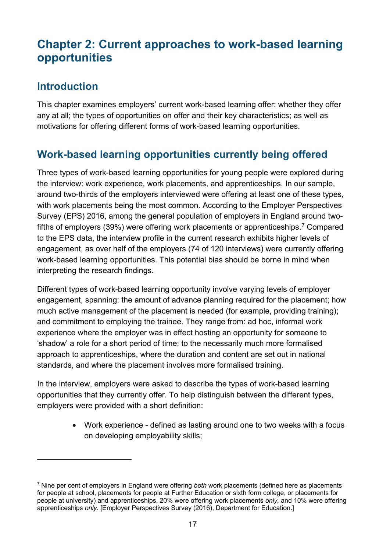# <span id="page-16-0"></span>**Chapter 2: Current approaches to work-based learning opportunities**

# <span id="page-16-1"></span>**Introduction**

 $\overline{a}$ 

This chapter examines employers' current work-based learning offer: whether they offer any at all; the types of opportunities on offer and their key characteristics; as well as motivations for offering different forms of work-based learning opportunities.

# <span id="page-16-2"></span>**Work-based learning opportunities currently being offered**

Three types of work-based learning opportunities for young people were explored during the interview: work experience, work placements, and apprenticeships. In our sample, around two-thirds of the employers interviewed were offering at least one of these types, with work placements being the most common. According to the Employer Perspectives Survey (EPS) 2016, among the general population of employers in England around two-fifths of employers (39%) were offering work placements or apprenticeships.<sup>[7](#page-16-3)</sup> Compared to the EPS data, the interview profile in the current research exhibits higher levels of engagement, as over half of the employers (74 of 120 interviews) were currently offering work-based learning opportunities. This potential bias should be borne in mind when interpreting the research findings.

Different types of work-based learning opportunity involve varying levels of employer engagement, spanning: the amount of advance planning required for the placement; how much active management of the placement is needed (for example, providing training); and commitment to employing the trainee. They range from: ad hoc, informal work experience where the employer was in effect hosting an opportunity for someone to 'shadow' a role for a short period of time; to the necessarily much more formalised approach to apprenticeships, where the duration and content are set out in national standards, and where the placement involves more formalised training.

In the interview, employers were asked to describe the types of work-based learning opportunities that they currently offer. To help distinguish between the different types, employers were provided with a short definition:

> • Work experience - defined as lasting around one to two weeks with a focus on developing employability skills;

<span id="page-16-3"></span><sup>7</sup> Nine per cent of employers in England were offering *both* work placements (defined here as placements for people at school, placements for people at Further Education or sixth form college, or placements for people at university) and apprenticeships, 20% were offering work placements *only,* and 10% were offering apprenticeships *only*. [Employer Perspectives Survey (2016), Department for Education.]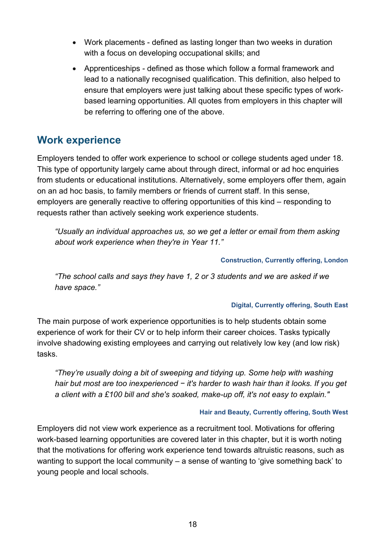- Work placements defined as lasting longer than two weeks in duration with a focus on developing occupational skills; and
- Apprenticeships defined as those which follow a formal framework and lead to a nationally recognised qualification. This definition, also helped to ensure that employers were just talking about these specific types of workbased learning opportunities. All quotes from employers in this chapter will be referring to offering one of the above.

# <span id="page-17-0"></span>**Work experience**

Employers tended to offer work experience to school or college students aged under 18. This type of opportunity largely came about through direct, informal or ad hoc enquiries from students or educational institutions. Alternatively, some employers offer them, again on an ad hoc basis, to family members or friends of current staff. In this sense, employers are generally reactive to offering opportunities of this kind – responding to requests rather than actively seeking work experience students.

*"Usually an individual approaches us, so we get a letter or email from them asking about work experience when they're in Year 11."*

#### **Construction, Currently offering, London**

*"The school calls and says they have 1, 2 or 3 students and we are asked if we have space."*

#### **Digital, Currently offering, South East**

The main purpose of work experience opportunities is to help students obtain some experience of work for their CV or to help inform their career choices. Tasks typically involve shadowing existing employees and carrying out relatively low key (and low risk) tasks.

*"They're usually doing a bit of sweeping and tidying up. Some help with washing hair but most are too inexperienced − it's harder to wash hair than it looks. If you get a client with a £100 bill and she's soaked, make-up off, it's not easy to explain."*

#### **Hair and Beauty, Currently offering, South West**

Employers did not view work experience as a recruitment tool. Motivations for offering work-based learning opportunities are covered later in this chapter, but it is worth noting that the motivations for offering work experience tend towards altruistic reasons, such as wanting to support the local community – a sense of wanting to 'give something back' to young people and local schools.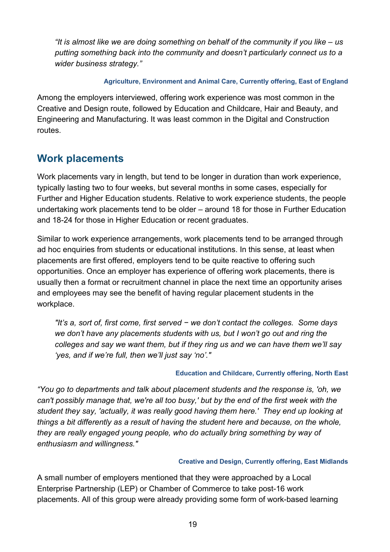*"It is almost like we are doing something on behalf of the community if you like – us putting something back into the community and doesn't particularly connect us to a wider business strategy."*

#### **Agriculture, Environment and Animal Care, Currently offering, East of England**

Among the employers interviewed, offering work experience was most common in the Creative and Design route, followed by Education and Childcare, Hair and Beauty, and Engineering and Manufacturing. It was least common in the Digital and Construction routes.

# <span id="page-18-0"></span>**Work placements**

Work placements vary in length, but tend to be longer in duration than work experience, typically lasting two to four weeks, but several months in some cases, especially for Further and Higher Education students. Relative to work experience students, the people undertaking work placements tend to be older – around 18 for those in Further Education and 18-24 for those in Higher Education or recent graduates.

Similar to work experience arrangements, work placements tend to be arranged through ad hoc enquiries from students or educational institutions. In this sense, at least when placements are first offered, employers tend to be quite reactive to offering such opportunities. Once an employer has experience of offering work placements, there is usually then a format or recruitment channel in place the next time an opportunity arises and employees may see the benefit of having regular placement students in the workplace.

*"It's a, sort of, first come, first served − we don't contact the colleges. Some days we don't have any placements students with us, but I won't go out and ring the colleges and say we want them, but if they ring us and we can have them we'll say 'yes, and if we're full, then we'll just say 'no'."*

#### **Education and Childcare, Currently offering, North East**

*"You go to departments and talk about placement students and the response is, 'oh, we can't possibly manage that, we're all too busy,' but by the end of the first week with the student they say, 'actually, it was really good having them here.' They end up looking at things a bit differently as a result of having the student here and because, on the whole, they are really engaged young people, who do actually bring something by way of enthusiasm and willingness."*

#### **Creative and Design, Currently offering, East Midlands**

A small number of employers mentioned that they were approached by a Local Enterprise Partnership (LEP) or Chamber of Commerce to take post-16 work placements. All of this group were already providing some form of work-based learning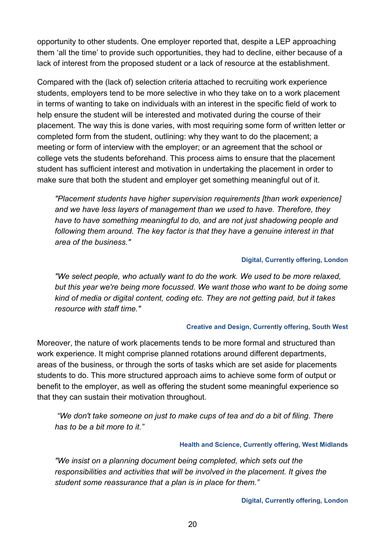opportunity to other students. One employer reported that, despite a LEP approaching them 'all the time' to provide such opportunities, they had to decline, either because of a lack of interest from the proposed student or a lack of resource at the establishment.

Compared with the (lack of) selection criteria attached to recruiting work experience students, employers tend to be more selective in who they take on to a work placement in terms of wanting to take on individuals with an interest in the specific field of work to help ensure the student will be interested and motivated during the course of their placement. The way this is done varies, with most requiring some form of written letter or completed form from the student, outlining: why they want to do the placement; a meeting or form of interview with the employer; or an agreement that the school or college vets the students beforehand. This process aims to ensure that the placement student has sufficient interest and motivation in undertaking the placement in order to make sure that both the student and employer get something meaningful out of it.

*"Placement students have higher supervision requirements [than work experience] and we have less layers of management than we used to have. Therefore, they have to have something meaningful to do, and are not just shadowing people and following them around. The key factor is that they have a genuine interest in that area of the business."*

#### **Digital, Currently offering, London**

*"We select people, who actually want to do the work. We used to be more relaxed, but this year we're being more focussed. We want those who want to be doing some kind of media or digital content, coding etc. They are not getting paid, but it takes resource with staff time."*

#### **Creative and Design, Currently offering, South West**

Moreover, the nature of work placements tends to be more formal and structured than work experience. It might comprise planned rotations around different departments, areas of the business, or through the sorts of tasks which are set aside for placements students to do. This more structured approach aims to achieve some form of output or benefit to the employer, as well as offering the student some meaningful experience so that they can sustain their motivation throughout.

*"We don't take someone on just to make cups of tea and do a bit of filing. There has to be a bit more to it."*

#### **Health and Science, Currently offering, West Midlands**

*"We insist on a planning document being completed, which sets out the responsibilities and activities that will be involved in the placement. It gives the student some reassurance that a plan is in place for them."*

**Digital, Currently offering, London**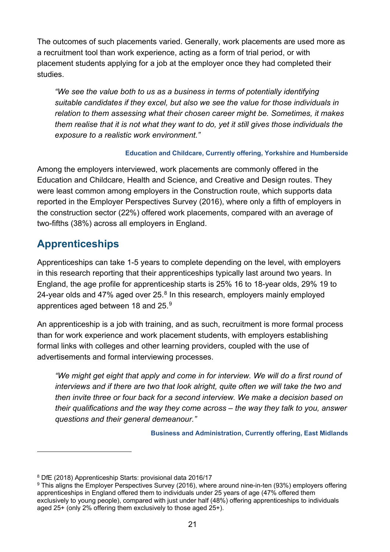The outcomes of such placements varied. Generally, work placements are used more as a recruitment tool than work experience, acting as a form of trial period, or with placement students applying for a job at the employer once they had completed their studies.

*"We see the value both to us as a business in terms of potentially identifying suitable candidates if they excel, but also we see the value for those individuals in relation to them assessing what their chosen career might be. Sometimes, it makes them realise that it is not what they want to do, yet it still gives those individuals the exposure to a realistic work environment."*

#### **Education and Childcare, Currently offering, Yorkshire and Humberside**

Among the employers interviewed, work placements are commonly offered in the Education and Childcare, Health and Science, and Creative and Design routes. They were least common among employers in the Construction route, which supports data reported in the Employer Perspectives Survey (2016), where only a fifth of employers in the construction sector (22%) offered work placements, compared with an average of two-fifths (38%) across all employers in England.

# <span id="page-20-0"></span>**Apprenticeships**

 $\overline{a}$ 

Apprenticeships can take 1-5 years to complete depending on the level, with employers in this research reporting that their apprenticeships typically last around two years. In England, the age profile for apprenticeship starts is 25% 16 to 18-year olds, 29% 19 to 24-year olds and 47% aged over 25.<sup>[8](#page-20-1)</sup> In this research, employers mainly employed apprentices aged between 18 and 25.[9](#page-20-2)

An apprenticeship is a job with training, and as such, recruitment is more formal process than for work experience and work placement students, with employers establishing formal links with colleges and other learning providers, coupled with the use of advertisements and formal interviewing processes.

*"We might get eight that apply and come in for interview. We will do a first round of interviews and if there are two that look alright, quite often we will take the two and then invite three or four back for a second interview. We make a decision based on their qualifications and the way they come across – the way they talk to you, answer questions and their general demeanour."*

**Business and Administration, Currently offering, East Midlands** 

<span id="page-20-1"></span><sup>8</sup> DfE (2018) Apprenticeship Starts: provisional data 2016/17

<span id="page-20-2"></span><sup>&</sup>lt;sup>9</sup> This aligns the Employer Perspectives Survey (2016), where around nine-in-ten (93%) employers offering apprenticeships in England offered them to individuals under 25 years of age (47% offered them exclusively to young people), compared with just under half (48%) offering apprenticeships to individuals aged 25+ (only 2% offering them exclusively to those aged 25+).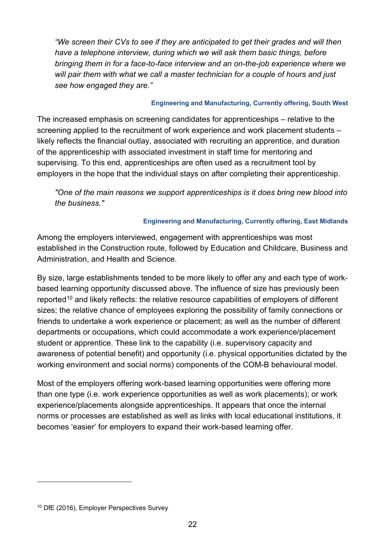*"We screen their CVs to see if they are anticipated to get their grades and will then have a telephone interview, during which we will ask them basic things, before bringing them in for a face-to-face interview and an on-the-job experience where we will pair them with what we call a master technician for a couple of hours and just see how engaged they are."*

#### **Engineering and Manufacturing, Currently offering, South West**

The increased emphasis on screening candidates for apprenticeships – relative to the screening applied to the recruitment of work experience and work placement students – likely reflects the financial outlay, associated with recruiting an apprentice, and duration of the apprenticeship with associated investment in staff time for mentoring and supervising. To this end, apprenticeships are often used as a recruitment tool by employers in the hope that the individual stays on after completing their apprenticeship.

*"One of the main reasons we support apprenticeships is it does bring new blood into the business."*

#### **Engineering and Manufacturing, Currently offering, East Midlands**

Among the employers interviewed, engagement with apprenticeships was most established in the Construction route, followed by Education and Childcare, Business and Administration, and Health and Science.

By size, large establishments tended to be more likely to offer any and each type of workbased learning opportunity discussed above. The influence of size has previously been reported<sup>[10](#page-21-0)</sup> and likely reflects: the relative resource capabilities of employers of different sizes; the relative chance of employees exploring the possibility of family connections or friends to undertake a work experience or placement; as well as the number of different departments or occupations, which could accommodate a work experience/placement student or apprentice. These link to the capability (i.e. supervisory capacity and awareness of potential benefit) and opportunity (i.e. physical opportunities dictated by the working environment and social norms) components of the COM-B behavioural model.

Most of the employers offering work-based learning opportunities were offering more than one type (i.e. work experience opportunities as well as work placements); or work experience/placements alongside apprenticeships. It appears that once the internal norms or processes are established as well as links with local educational institutions, it becomes 'easier' for employers to expand their work-based learning offer.

 $\overline{a}$ 

<span id="page-21-0"></span><sup>&</sup>lt;sup>10</sup> DfE (2016), Employer Perspectives Survey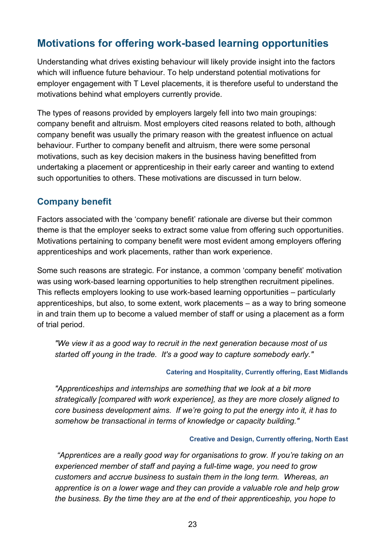# <span id="page-22-0"></span>**Motivations for offering work-based learning opportunities**

Understanding what drives existing behaviour will likely provide insight into the factors which will influence future behaviour. To help understand potential motivations for employer engagement with T Level placements, it is therefore useful to understand the motivations behind what employers currently provide.

The types of reasons provided by employers largely fell into two main groupings: company benefit and altruism. Most employers cited reasons related to both, although company benefit was usually the primary reason with the greatest influence on actual behaviour. Further to company benefit and altruism, there were some personal motivations, such as key decision makers in the business having benefitted from undertaking a placement or apprenticeship in their early career and wanting to extend such opportunities to others. These motivations are discussed in turn below.

#### <span id="page-22-1"></span>**Company benefit**

Factors associated with the 'company benefit' rationale are diverse but their common theme is that the employer seeks to extract some value from offering such opportunities. Motivations pertaining to company benefit were most evident among employers offering apprenticeships and work placements, rather than work experience.

Some such reasons are strategic. For instance, a common 'company benefit' motivation was using work-based learning opportunities to help strengthen recruitment pipelines. This reflects employers looking to use work-based learning opportunities – particularly apprenticeships, but also, to some extent, work placements – as a way to bring someone in and train them up to become a valued member of staff or using a placement as a form of trial period.

*"We view it as a good way to recruit in the next generation because most of us started off young in the trade. It's a good way to capture somebody early."*

#### **Catering and Hospitality, Currently offering, East Midlands**

*"Apprenticeships and internships are something that we look at a bit more strategically [compared with work experience], as they are more closely aligned to core business development aims. If we're going to put the energy into it, it has to somehow be transactional in terms of knowledge or capacity building."*

#### **Creative and Design, Currently offering, North East**

*"Apprentices are a really good way for organisations to grow. If you're taking on an experienced member of staff and paying a full-time wage, you need to grow customers and accrue business to sustain them in the long term. Whereas, an apprentice is on a lower wage and they can provide a valuable role and help grow the business. By the time they are at the end of their apprenticeship, you hope to*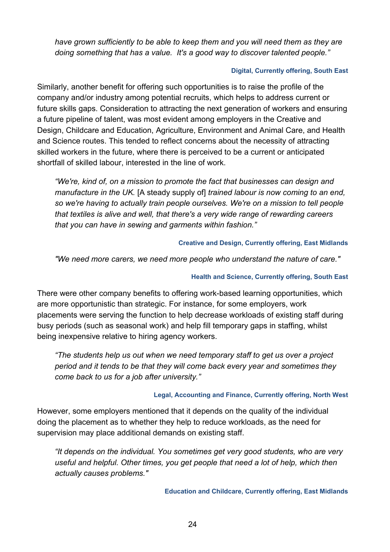*have grown sufficiently to be able to keep them and you will need them as they are doing something that has a value. It's a good way to discover talented people."*

#### **Digital, Currently offering, South East**

Similarly, another benefit for offering such opportunities is to raise the profile of the company and/or industry among potential recruits, which helps to address current or future skills gaps. Consideration to attracting the next generation of workers and ensuring a future pipeline of talent, was most evident among employers in the Creative and Design, Childcare and Education, Agriculture, Environment and Animal Care, and Health and Science routes. This tended to reflect concerns about the necessity of attracting skilled workers in the future, where there is perceived to be a current or anticipated shortfall of skilled labour, interested in the line of work.

*"We're, kind of, on a mission to promote the fact that businesses can design and manufacture in the UK.* [A steady supply of] *trained labour is now coming to an end, so we're having to actually train people ourselves. We're on a mission to tell people that textiles is alive and well, that there's a very wide range of rewarding careers that you can have in sewing and garments within fashion."*

#### **Creative and Design, Currently offering, East Midlands**

*"We need more carers, we need more people who understand the nature of care."*

#### **Health and Science, Currently offering, South East**

There were other company benefits to offering work-based learning opportunities, which are more opportunistic than strategic. For instance, for some employers, work placements were serving the function to help decrease workloads of existing staff during busy periods (such as seasonal work) and help fill temporary gaps in staffing, whilst being inexpensive relative to hiring agency workers.

*"The students help us out when we need temporary staff to get us over a project period and it tends to be that they will come back every year and sometimes they come back to us for a job after university."*

#### **Legal, Accounting and Finance, Currently offering, North West**

However, some employers mentioned that it depends on the quality of the individual doing the placement as to whether they help to reduce workloads, as the need for supervision may place additional demands on existing staff.

*"It depends on the individual. You sometimes get very good students, who are very useful and helpful. Other times, you get people that need a lot of help, which then actually causes problems."*

**Education and Childcare, Currently offering, East Midlands**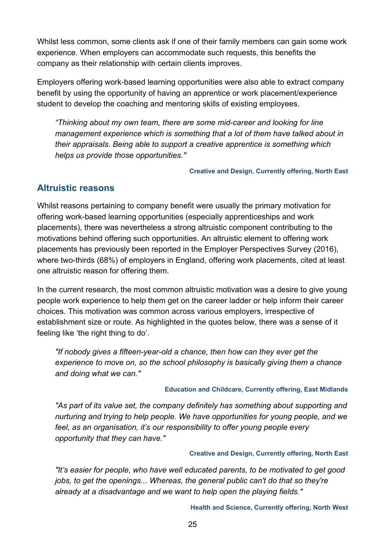Whilst less common, some clients ask if one of their family members can gain some work experience. When employers can accommodate such requests, this benefits the company as their relationship with certain clients improves.

Employers offering work-based learning opportunities were also able to extract company benefit by using the opportunity of having an apprentice or work placement/experience student to develop the coaching and mentoring skills of existing employees.

*"Thinking about my own team, there are some mid-career and looking for line management experience which is something that a lot of them have talked about in their appraisals. Being able to support a creative apprentice is something which helps us provide those opportunities."*

**Creative and Design, Currently offering, North East**

### <span id="page-24-0"></span>**Altruistic reasons**

Whilst reasons pertaining to company benefit were usually the primary motivation for offering work-based learning opportunities (especially apprenticeships and work placements), there was nevertheless a strong altruistic component contributing to the motivations behind offering such opportunities. An altruistic element to offering work placements has previously been reported in the Employer Perspectives Survey (2016), where two-thirds (68%) of employers in England, offering work placements, cited at least one altruistic reason for offering them.

In the current research, the most common altruistic motivation was a desire to give young people work experience to help them get on the career ladder or help inform their career choices. This motivation was common across various employers, irrespective of establishment size or route. As highlighted in the quotes below, there was a sense of it feeling like 'the right thing to do'.

*"If nobody gives a fifteen-year-old a chance, then how can they ever get the experience to move on, so the school philosophy is basically giving them a chance and doing what we can."*

#### **Education and Childcare, Currently offering, East Midlands**

*"As part of its value set, the company definitely has something about supporting and nurturing and trying to help people. We have opportunities for young people, and we feel, as an organisation, it's our responsibility to offer young people every opportunity that they can have."*

#### **Creative and Design, Currently offering, North East**

*"It's easier for people, who have well educated parents, to be motivated to get good jobs, to get the openings... Whereas, the general public can't do that so they're already at a disadvantage and we want to help open the playing fields."*

**Health and Science, Currently offering, North West**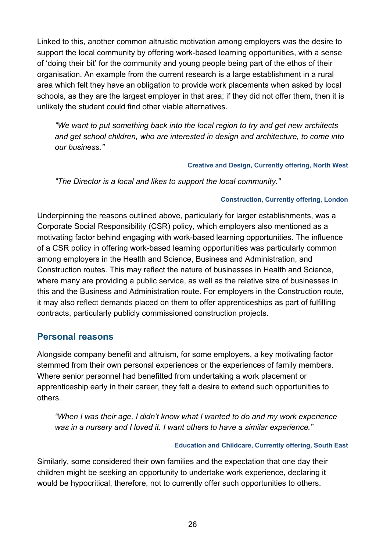Linked to this, another common altruistic motivation among employers was the desire to support the local community by offering work-based learning opportunities, with a sense of 'doing their bit' for the community and young people being part of the ethos of their organisation. An example from the current research is a large establishment in a rural area which felt they have an obligation to provide work placements when asked by local schools, as they are the largest employer in that area; if they did not offer them, then it is unlikely the student could find other viable alternatives.

*"We want to put something back into the local region to try and get new architects and get school children, who are interested in design and architecture, to come into our business."*

#### **Creative and Design, Currently offering, North West**

*"The Director is a local and likes to support the local community."*

#### **Construction, Currently offering, London**

Underpinning the reasons outlined above, particularly for larger establishments, was a Corporate Social Responsibility (CSR) policy, which employers also mentioned as a motivating factor behind engaging with work-based learning opportunities. The influence of a CSR policy in offering work-based learning opportunities was particularly common among employers in the Health and Science, Business and Administration, and Construction routes. This may reflect the nature of businesses in Health and Science, where many are providing a public service, as well as the relative size of businesses in this and the Business and Administration route. For employers in the Construction route, it may also reflect demands placed on them to offer apprenticeships as part of fulfilling contracts, particularly publicly commissioned construction projects.

#### <span id="page-25-0"></span>**Personal reasons**

Alongside company benefit and altruism, for some employers, a key motivating factor stemmed from their own personal experiences or the experiences of family members. Where senior personnel had benefitted from undertaking a work placement or apprenticeship early in their career, they felt a desire to extend such opportunities to others.

*"When I was their age, I didn't know what I wanted to do and my work experience was in a nursery and I loved it. I want others to have a similar experience."*

#### **Education and Childcare, Currently offering, South East**

Similarly, some considered their own families and the expectation that one day their children might be seeking an opportunity to undertake work experience, declaring it would be hypocritical, therefore, not to currently offer such opportunities to others.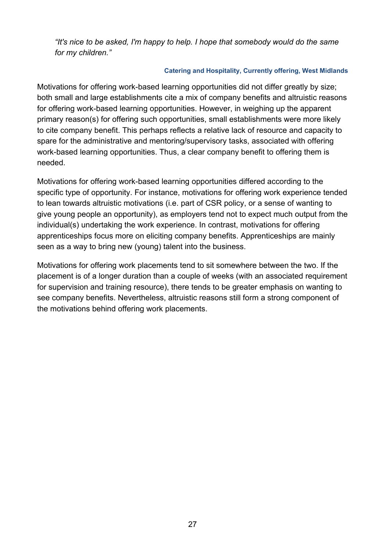*"It's nice to be asked, I'm happy to help. I hope that somebody would do the same for my children."*

#### **Catering and Hospitality, Currently offering, West Midlands**

Motivations for offering work-based learning opportunities did not differ greatly by size; both small and large establishments cite a mix of company benefits and altruistic reasons for offering work-based learning opportunities. However, in weighing up the apparent primary reason(s) for offering such opportunities, small establishments were more likely to cite company benefit. This perhaps reflects a relative lack of resource and capacity to spare for the administrative and mentoring/supervisory tasks, associated with offering work-based learning opportunities. Thus, a clear company benefit to offering them is needed.

Motivations for offering work-based learning opportunities differed according to the specific type of opportunity. For instance, motivations for offering work experience tended to lean towards altruistic motivations (i.e. part of CSR policy, or a sense of wanting to give young people an opportunity), as employers tend not to expect much output from the individual(s) undertaking the work experience. In contrast, motivations for offering apprenticeships focus more on eliciting company benefits. Apprenticeships are mainly seen as a way to bring new (young) talent into the business.

Motivations for offering work placements tend to sit somewhere between the two. If the placement is of a longer duration than a couple of weeks (with an associated requirement for supervision and training resource), there tends to be greater emphasis on wanting to see company benefits. Nevertheless, altruistic reasons still form a strong component of the motivations behind offering work placements.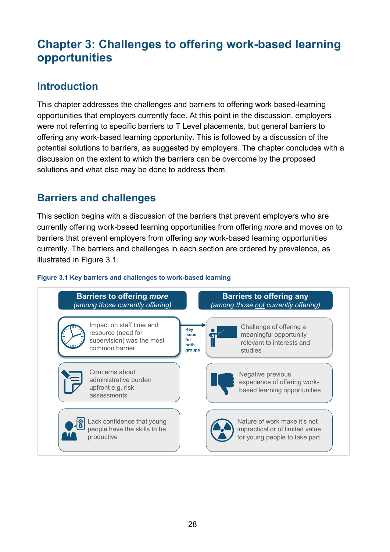# <span id="page-27-0"></span>**Chapter 3: Challenges to offering work-based learning opportunities**

# <span id="page-27-1"></span>**Introduction**

This chapter addresses the challenges and barriers to offering work based-learning opportunities that employers currently face. At this point in the discussion, employers were not referring to specific barriers to T Level placements, but general barriers to offering any work-based learning opportunity. This is followed by a discussion of the potential solutions to barriers, as suggested by employers. The chapter concludes with a discussion on the extent to which the barriers can be overcome by the proposed solutions and what else may be done to address them.

# <span id="page-27-2"></span>**Barriers and challenges**

This section begins with a discussion of the barriers that prevent employers who are currently offering work-based learning opportunities from offering *more* and moves on to barriers that prevent employers from offering *any* work-based learning opportunities currently. The barriers and challenges in each section are ordered by prevalence, as illustrated in Figure 3.1.

#### **Figure 3.1 Key barriers and challenges to work-based learning**

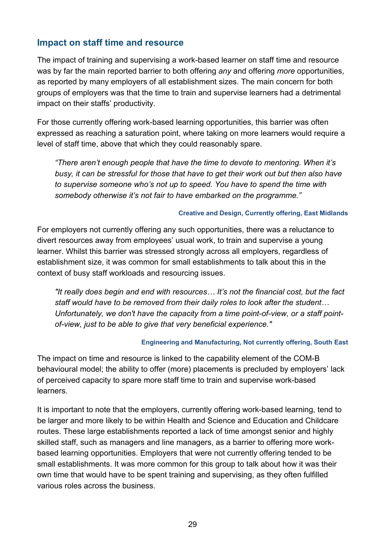### <span id="page-28-0"></span>**Impact on staff time and resource**

The impact of training and supervising a work-based learner on staff time and resource was by far the main reported barrier to both offering *any* and offering *more* opportunities, as reported by many employers of all establishment sizes. The main concern for both groups of employers was that the time to train and supervise learners had a detrimental impact on their staffs' productivity.

For those currently offering work-based learning opportunities, this barrier was often expressed as reaching a saturation point, where taking on more learners would require a level of staff time, above that which they could reasonably spare.

*"There aren't enough people that have the time to devote to mentoring. When it's busy, it can be stressful for those that have to get their work out but then also have to supervise someone who's not up to speed. You have to spend the time with somebody otherwise it's not fair to have embarked on the programme."*

#### **Creative and Design, Currently offering, East Midlands**

For employers not currently offering any such opportunities, there was a reluctance to divert resources away from employees' usual work, to train and supervise a young learner. Whilst this barrier was stressed strongly across all employers, regardless of establishment size, it was common for small establishments to talk about this in the context of busy staff workloads and resourcing issues.

*"It really does begin and end with resources… It's not the financial cost, but the fact staff would have to be removed from their daily roles to look after the student… Unfortunately, we don't have the capacity from a time point-of-view, or a staff pointof-view, just to be able to give that very beneficial experience."*

#### **Engineering and Manufacturing, Not currently offering, South East**

The impact on time and resource is linked to the capability element of the COM-B behavioural model; the ability to offer (more) placements is precluded by employers' lack of perceived capacity to spare more staff time to train and supervise work-based learners.

It is important to note that the employers, currently offering work-based learning, tend to be larger and more likely to be within Health and Science and Education and Childcare routes. These large establishments reported a lack of time amongst senior and highly skilled staff, such as managers and line managers, as a barrier to offering more workbased learning opportunities. Employers that were not currently offering tended to be small establishments. It was more common for this group to talk about how it was their own time that would have to be spent training and supervising, as they often fulfilled various roles across the business.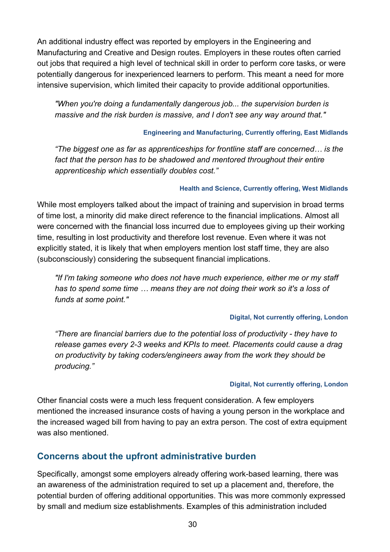An additional industry effect was reported by employers in the Engineering and Manufacturing and Creative and Design routes. Employers in these routes often carried out jobs that required a high level of technical skill in order to perform core tasks, or were potentially dangerous for inexperienced learners to perform. This meant a need for more intensive supervision, which limited their capacity to provide additional opportunities.

*"When you're doing a fundamentally dangerous job... the supervision burden is massive and the risk burden is massive, and I don't see any way around that."*

#### **Engineering and Manufacturing, Currently offering, East Midlands**

*"The biggest one as far as apprenticeships for frontline staff are concerned… is the*  fact that the person has to be shadowed and mentored throughout their entire *apprenticeship which essentially doubles cost."*

#### **Health and Science, Currently offering, West Midlands**

While most employers talked about the impact of training and supervision in broad terms of time lost, a minority did make direct reference to the financial implications. Almost all were concerned with the financial loss incurred due to employees giving up their working time, resulting in lost productivity and therefore lost revenue. Even where it was not explicitly stated, it is likely that when employers mention lost staff time, they are also (subconsciously) considering the subsequent financial implications.

*"If I'm taking someone who does not have much experience, either me or my staff has to spend some time … means they are not doing their work so it's a loss of funds at some point."*

#### **Digital, Not currently offering, London**

*"There are financial barriers due to the potential loss of productivity - they have to release games every 2-3 weeks and KPIs to meet. Placements could cause a drag on productivity by taking coders/engineers away from the work they should be producing."*

#### **Digital, Not currently offering, London**

Other financial costs were a much less frequent consideration. A few employers mentioned the increased insurance costs of having a young person in the workplace and the increased waged bill from having to pay an extra person. The cost of extra equipment was also mentioned.

#### <span id="page-29-0"></span>**Concerns about the upfront administrative burden**

Specifically, amongst some employers already offering work-based learning, there was an awareness of the administration required to set up a placement and, therefore, the potential burden of offering additional opportunities. This was more commonly expressed by small and medium size establishments. Examples of this administration included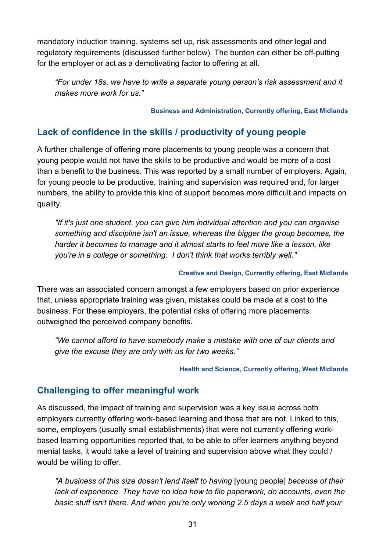mandatory induction training, systems set up, risk assessments and other legal and regulatory requirements (discussed further below). The burden can either be off-putting for the employer or act as a demotivating factor to offering at all.

*"For under 18s, we have to write a separate young person's risk assessment and it makes more work for us."* 

**Business and Administration, Currently offering, East Midlands**

# <span id="page-30-0"></span>**Lack of confidence in the skills / productivity of young people**

A further challenge of offering more placements to young people was a concern that young people would not have the skills to be productive and would be more of a cost than a benefit to the business. This was reported by a small number of employers. Again, for young people to be productive, training and supervision was required and, for larger numbers, the ability to provide this kind of support becomes more difficult and impacts on quality.

*"If it's just one student, you can give him individual attention and you can organise something and discipline isn't an issue, whereas the bigger the group becomes, the harder it becomes to manage and it almost starts to feel more like a lesson, like you're in a college or something. I don't think that works terribly well."*

#### **Creative and Design, Currently offering, East Midlands**

There was an associated concern amongst a few employers based on prior experience that, unless appropriate training was given, mistakes could be made at a cost to the business. For these employers, the potential risks of offering more placements outweighed the perceived company benefits.

*"We cannot afford to have somebody make a mistake with one of our clients and give the excuse they are only with us for two weeks."*

#### **Health and Science, Currently offering, West Midlands**

### <span id="page-30-1"></span>**Challenging to offer meaningful work**

As discussed, the impact of training and supervision was a key issue across both employers currently offering work-based learning and those that are not. Linked to this, some, employers (usually small establishments) that were not currently offering workbased learning opportunities reported that, to be able to offer learners anything beyond menial tasks, it would take a level of training and supervision above what they could / would be willing to offer.

*"A business of this size doesn't lend itself to having* [young people] *because of their*  lack of experience. They have no idea how to file paperwork, do accounts, even the *basic stuff isn't there. And when you're only working 2.5 days a week and half your*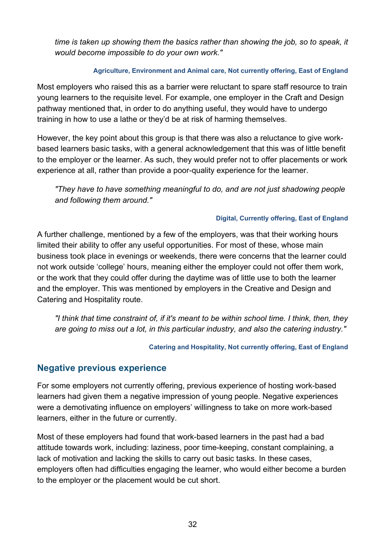*time is taken up showing them the basics rather than showing the job, so to speak, it would become impossible to do your own work."*

#### **Agriculture, Environment and Animal care, Not currently offering, East of England**

Most employers who raised this as a barrier were reluctant to spare staff resource to train young learners to the requisite level. For example, one employer in the Craft and Design pathway mentioned that, in order to do anything useful, they would have to undergo training in how to use a lathe or they'd be at risk of harming themselves.

However, the key point about this group is that there was also a reluctance to give workbased learners basic tasks, with a general acknowledgement that this was of little benefit to the employer or the learner. As such, they would prefer not to offer placements or work experience at all, rather than provide a poor-quality experience for the learner.

*"They have to have something meaningful to do, and are not just shadowing people and following them around."*

#### **Digital, Currently offering, East of England**

A further challenge, mentioned by a few of the employers, was that their working hours limited their ability to offer any useful opportunities. For most of these, whose main business took place in evenings or weekends, there were concerns that the learner could not work outside 'college' hours, meaning either the employer could not offer them work, or the work that they could offer during the daytime was of little use to both the learner and the employer. This was mentioned by employers in the Creative and Design and Catering and Hospitality route.

*"I think that time constraint of, if it's meant to be within school time. I think, then, they are going to miss out a lot, in this particular industry, and also the catering industry."*

**Catering and Hospitality, Not currently offering, East of England**

#### <span id="page-31-0"></span>**Negative previous experience**

For some employers not currently offering, previous experience of hosting work-based learners had given them a negative impression of young people. Negative experiences were a demotivating influence on employers' willingness to take on more work-based learners, either in the future or currently.

Most of these employers had found that work-based learners in the past had a bad attitude towards work, including: laziness, poor time-keeping, constant complaining, a lack of motivation and lacking the skills to carry out basic tasks. In these cases, employers often had difficulties engaging the learner, who would either become a burden to the employer or the placement would be cut short.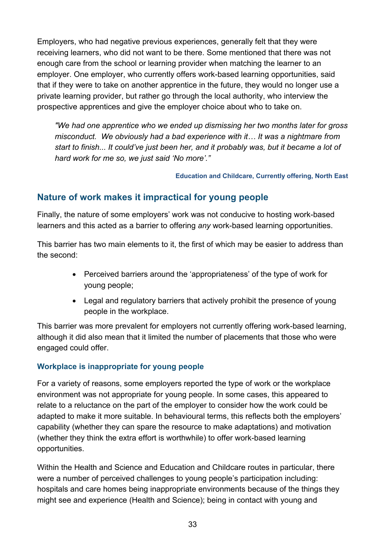Employers, who had negative previous experiences, generally felt that they were receiving learners, who did not want to be there. Some mentioned that there was not enough care from the school or learning provider when matching the learner to an employer. One employer, who currently offers work-based learning opportunities, said that if they were to take on another apprentice in the future, they would no longer use a private learning provider, but rather go through the local authority, who interview the prospective apprentices and give the employer choice about who to take on.

*"We had one apprentice who we ended up dismissing her two months later for gross misconduct. We obviously had a bad experience with it… It was a nightmare from start to finish... It could've just been her, and it probably was, but it became a lot of hard work for me so, we just said 'No more'."*

**Education and Childcare, Currently offering, North East**

### <span id="page-32-0"></span>**Nature of work makes it impractical for young people**

Finally, the nature of some employers' work was not conducive to hosting work-based learners and this acted as a barrier to offering *any* work-based learning opportunities.

This barrier has two main elements to it, the first of which may be easier to address than the second:

- Perceived barriers around the 'appropriateness' of the type of work for young people;
- Legal and regulatory barriers that actively prohibit the presence of young people in the workplace.

This barrier was more prevalent for employers not currently offering work-based learning, although it did also mean that it limited the number of placements that those who were engaged could offer.

#### **Workplace is inappropriate for young people**

For a variety of reasons, some employers reported the type of work or the workplace environment was not appropriate for young people. In some cases, this appeared to relate to a reluctance on the part of the employer to consider how the work could be adapted to make it more suitable. In behavioural terms, this reflects both the employers' capability (whether they can spare the resource to make adaptations) and motivation (whether they think the extra effort is worthwhile) to offer work-based learning opportunities.

Within the Health and Science and Education and Childcare routes in particular, there were a number of perceived challenges to young people's participation including: hospitals and care homes being inappropriate environments because of the things they might see and experience (Health and Science); being in contact with young and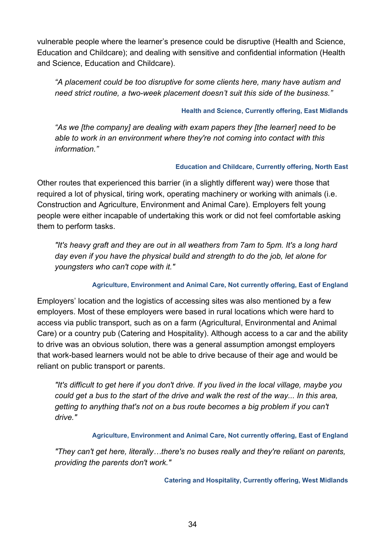vulnerable people where the learner's presence could be disruptive (Health and Science, Education and Childcare); and dealing with sensitive and confidential information (Health and Science, Education and Childcare).

*"A placement could be too disruptive for some clients here, many have autism and need strict routine, a two-week placement doesn't suit this side of the business."*

#### **Health and Science, Currently offering, East Midlands**

*"As we [the company] are dealing with exam papers they [the learner] need to be able to work in an environment where they're not coming into contact with this information."*

#### **Education and Childcare, Currently offering, North East**

Other routes that experienced this barrier (in a slightly different way) were those that required a lot of physical, tiring work, operating machinery or working with animals (i.e. Construction and Agriculture, Environment and Animal Care). Employers felt young people were either incapable of undertaking this work or did not feel comfortable asking them to perform tasks.

*"It's heavy graft and they are out in all weathers from 7am to 5pm. It's a long hard day even if you have the physical build and strength to do the job, let alone for youngsters who can't cope with it."*

#### **Agriculture, Environment and Animal Care, Not currently offering, East of England**

Employers' location and the logistics of accessing sites was also mentioned by a few employers. Most of these employers were based in rural locations which were hard to access via public transport, such as on a farm (Agricultural, Environmental and Animal Care) or a country pub (Catering and Hospitality). Although access to a car and the ability to drive was an obvious solution, there was a general assumption amongst employers that work-based learners would not be able to drive because of their age and would be reliant on public transport or parents.

*"It's difficult to get here if you don't drive. If you lived in the local village, maybe you could get a bus to the start of the drive and walk the rest of the way... In this area, getting to anything that's not on a bus route becomes a big problem if you can't drive."*

#### **Agriculture, Environment and Animal Care, Not currently offering, East of England**

*"They can't get here, literally…there's no buses really and they're reliant on parents, providing the parents don't work."*

**Catering and Hospitality, Currently offering, West Midlands**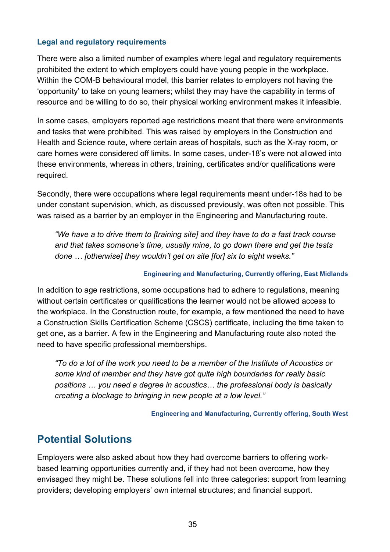#### **Legal and regulatory requirements**

There were also a limited number of examples where legal and regulatory requirements prohibited the extent to which employers could have young people in the workplace. Within the COM-B behavioural model, this barrier relates to employers not having the 'opportunity' to take on young learners; whilst they may have the capability in terms of resource and be willing to do so, their physical working environment makes it infeasible.

In some cases, employers reported age restrictions meant that there were environments and tasks that were prohibited. This was raised by employers in the Construction and Health and Science route, where certain areas of hospitals, such as the X-ray room, or care homes were considered off limits. In some cases, under-18's were not allowed into these environments, whereas in others, training, certificates and/or qualifications were required.

Secondly, there were occupations where legal requirements meant under-18s had to be under constant supervision, which, as discussed previously, was often not possible. This was raised as a barrier by an employer in the Engineering and Manufacturing route.

*"We have a to drive them to [training site] and they have to do a fast track course and that takes someone's time, usually mine, to go down there and get the tests done … [otherwise] they wouldn't get on site [for] six to eight weeks."*

#### **Engineering and Manufacturing, Currently offering, East Midlands**

In addition to age restrictions, some occupations had to adhere to regulations, meaning without certain certificates or qualifications the learner would not be allowed access to the workplace. In the Construction route, for example, a few mentioned the need to have a Construction Skills Certification Scheme (CSCS) certificate, including the time taken to get one, as a barrier. A few in the Engineering and Manufacturing route also noted the need to have specific professional memberships.

*"To do a lot of the work you need to be a member of the Institute of Acoustics or some kind of member and they have got quite high boundaries for really basic positions … you need a degree in acoustics… the professional body is basically creating a blockage to bringing in new people at a low level."*

**Engineering and Manufacturing, Currently offering, South West**

# <span id="page-34-0"></span>**Potential Solutions**

Employers were also asked about how they had overcome barriers to offering workbased learning opportunities currently and, if they had not been overcome, how they envisaged they might be. These solutions fell into three categories: support from learning providers; developing employers' own internal structures; and financial support.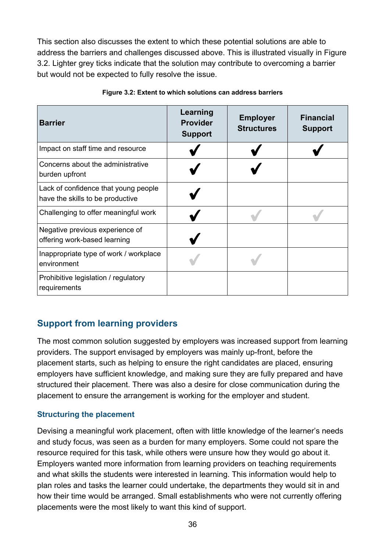This section also discusses the extent to which these potential solutions are able to address the barriers and challenges discussed above. This is illustrated visually in Figure 3.2. Lighter grey ticks indicate that the solution may contribute to overcoming a barrier but would not be expected to fully resolve the issue.

| <b>Barrier</b>                                                           | Learning<br><b>Provider</b><br><b>Support</b> | <b>Employer</b><br><b>Structures</b> | <b>Financial</b><br><b>Support</b> |
|--------------------------------------------------------------------------|-----------------------------------------------|--------------------------------------|------------------------------------|
| Impact on staff time and resource                                        |                                               |                                      |                                    |
| Concerns about the administrative<br>burden upfront                      |                                               |                                      |                                    |
| Lack of confidence that young people<br>have the skills to be productive |                                               |                                      |                                    |
| Challenging to offer meaningful work                                     |                                               |                                      |                                    |
| Negative previous experience of<br>offering work-based learning          |                                               |                                      |                                    |
| Inappropriate type of work / workplace<br>environment                    |                                               |                                      |                                    |
| Prohibitive legislation / regulatory<br>requirements                     |                                               |                                      |                                    |

#### **Figure 3.2: Extent to which solutions can address barriers**

# <span id="page-35-0"></span>**Support from learning providers**

The most common solution suggested by employers was increased support from learning providers. The support envisaged by employers was mainly up-front, before the placement starts, such as helping to ensure the right candidates are placed, ensuring employers have sufficient knowledge, and making sure they are fully prepared and have structured their placement. There was also a desire for close communication during the placement to ensure the arrangement is working for the employer and student.

#### **Structuring the placement**

Devising a meaningful work placement, often with little knowledge of the learner's needs and study focus, was seen as a burden for many employers. Some could not spare the resource required for this task, while others were unsure how they would go about it. Employers wanted more information from learning providers on teaching requirements and what skills the students were interested in learning. This information would help to plan roles and tasks the learner could undertake, the departments they would sit in and how their time would be arranged. Small establishments who were not currently offering placements were the most likely to want this kind of support.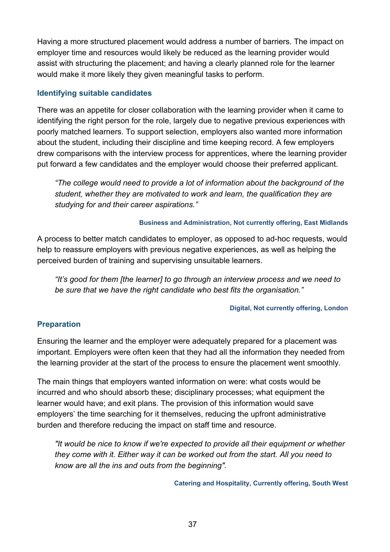Having a more structured placement would address a number of barriers. The impact on employer time and resources would likely be reduced as the learning provider would assist with structuring the placement; and having a clearly planned role for the learner would make it more likely they given meaningful tasks to perform.

#### **Identifying suitable candidates**

There was an appetite for closer collaboration with the learning provider when it came to identifying the right person for the role, largely due to negative previous experiences with poorly matched learners. To support selection, employers also wanted more information about the student, including their discipline and time keeping record. A few employers drew comparisons with the interview process for apprentices, where the learning provider put forward a few candidates and the employer would choose their preferred applicant.

*"The college would need to provide a lot of information about the background of the student, whether they are motivated to work and learn, the qualification they are studying for and their career aspirations."*

#### **Business and Administration, Not currently offering, East Midlands**

A process to better match candidates to employer, as opposed to ad-hoc requests, would help to reassure employers with previous negative experiences, as well as helping the perceived burden of training and supervising unsuitable learners.

*"It's good for them [the learner] to go through an interview process and we need to be sure that we have the right candidate who best fits the organisation."*

#### **Digital, Not currently offering, London**

#### **Preparation**

Ensuring the learner and the employer were adequately prepared for a placement was important. Employers were often keen that they had all the information they needed from the learning provider at the start of the process to ensure the placement went smoothly.

The main things that employers wanted information on were: what costs would be incurred and who should absorb these; disciplinary processes; what equipment the learner would have; and exit plans. The provision of this information would save employers' the time searching for it themselves, reducing the upfront administrative burden and therefore reducing the impact on staff time and resource.

*"It would be nice to know if we're expected to provide all their equipment or whether they come with it. Either way it can be worked out from the start. All you need to know are all the ins and outs from the beginning".*

**Catering and Hospitality, Currently offering, South West**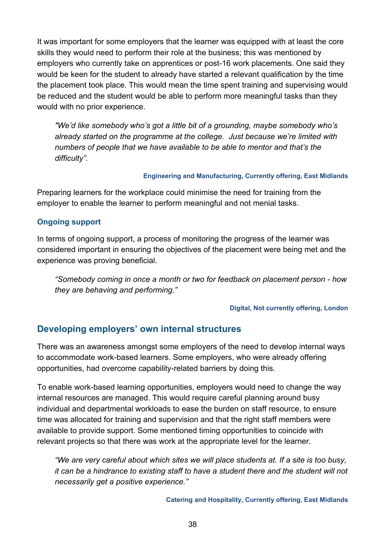It was important for some employers that the learner was equipped with at least the core skills they would need to perform their role at the business; this was mentioned by employers who currently take on apprentices or post-16 work placements. One said they would be keen for the student to already have started a relevant qualification by the time the placement took place. This would mean the time spent training and supervising would be reduced and the student would be able to perform more meaningful tasks than they would with no prior experience.

*"We'd like somebody who's got a little bit of a grounding, maybe somebody who's already started on the programme at the college. Just because we're limited with numbers of people that we have available to be able to mentor and that's the difficulty".*

#### **Engineering and Manufacturing, Currently offering, East Midlands**

Preparing learners for the workplace could minimise the need for training from the employer to enable the learner to perform meaningful and not menial tasks.

#### **Ongoing support**

In terms of ongoing support, a process of monitoring the progress of the learner was considered important in ensuring the objectives of the placement were being met and the experience was proving beneficial.

*"Somebody coming in once a month or two for feedback on placement person - how they are behaving and performing."*

#### **Digital, Not currently offering, London**

#### <span id="page-37-0"></span>**Developing employers' own internal structures**

There was an awareness amongst some employers of the need to develop internal ways to accommodate work-based learners. Some employers, who were already offering opportunities, had overcome capability-related barriers by doing this.

To enable work-based learning opportunities, employers would need to change the way internal resources are managed. This would require careful planning around busy individual and departmental workloads to ease the burden on staff resource, to ensure time was allocated for training and supervision and that the right staff members were available to provide support. Some mentioned timing opportunities to coincide with relevant projects so that there was work at the appropriate level for the learner.

*"We are very careful about which sites we will place students at. If a site is too busy, it can be a hindrance to existing staff to have a student there and the student will not necessarily get a positive experience."*

**Catering and Hospitality, Currently offering, East Midlands**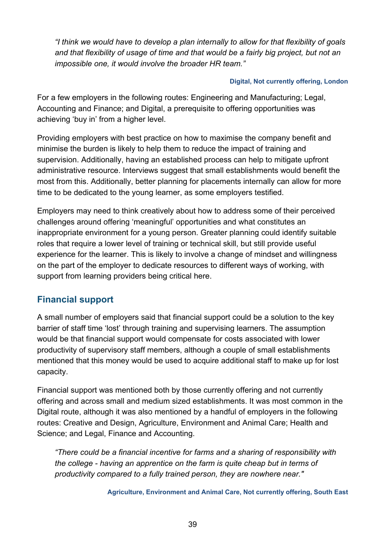*"I think we would have to develop a plan internally to allow for that flexibility of goals and that flexibility of usage of time and that would be a fairly big project, but not an impossible one, it would involve the broader HR team."*

#### **Digital, Not currently offering, London**

For a few employers in the following routes: Engineering and Manufacturing; Legal, Accounting and Finance; and Digital, a prerequisite to offering opportunities was achieving 'buy in' from a higher level.

Providing employers with best practice on how to maximise the company benefit and minimise the burden is likely to help them to reduce the impact of training and supervision. Additionally, having an established process can help to mitigate upfront administrative resource. Interviews suggest that small establishments would benefit the most from this. Additionally, better planning for placements internally can allow for more time to be dedicated to the young learner, as some employers testified.

Employers may need to think creatively about how to address some of their perceived challenges around offering 'meaningful' opportunities and what constitutes an inappropriate environment for a young person. Greater planning could identify suitable roles that require a lower level of training or technical skill, but still provide useful experience for the learner. This is likely to involve a change of mindset and willingness on the part of the employer to dedicate resources to different ways of working, with support from learning providers being critical here.

# <span id="page-38-0"></span>**Financial support**

A small number of employers said that financial support could be a solution to the key barrier of staff time 'lost' through training and supervising learners. The assumption would be that financial support would compensate for costs associated with lower productivity of supervisory staff members, although a couple of small establishments mentioned that this money would be used to acquire additional staff to make up for lost capacity.

Financial support was mentioned both by those currently offering and not currently offering and across small and medium sized establishments. It was most common in the Digital route, although it was also mentioned by a handful of employers in the following routes: Creative and Design, Agriculture, Environment and Animal Care; Health and Science; and Legal, Finance and Accounting.

*"There could be a financial incentive for farms and a sharing of responsibility with the college - having an apprentice on the farm is quite cheap but in terms of productivity compared to a fully trained person, they are nowhere near."*

**Agriculture, Environment and Animal Care, Not currently offering, South East**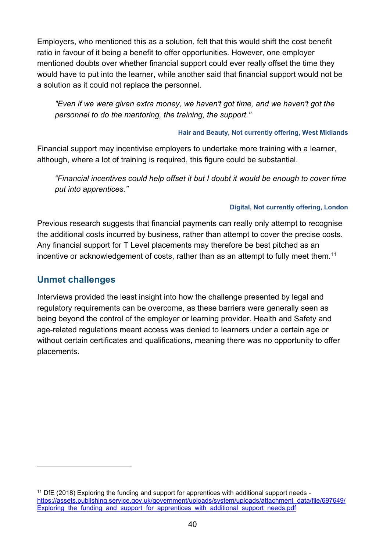Employers, who mentioned this as a solution, felt that this would shift the cost benefit ratio in favour of it being a benefit to offer opportunities. However, one employer mentioned doubts over whether financial support could ever really offset the time they would have to put into the learner, while another said that financial support would not be a solution as it could not replace the personnel.

*"Even if we were given extra money, we haven't got time, and we haven't got the personnel to do the mentoring, the training, the support."*

#### **Hair and Beauty, Not currently offering, West Midlands**

Financial support may incentivise employers to undertake more training with a learner, although, where a lot of training is required, this figure could be substantial.

*"Financial incentives could help offset it but I doubt it would be enough to cover time put into apprentices."*

#### **Digital, Not currently offering, London**

Previous research suggests that financial payments can really only attempt to recognise the additional costs incurred by business, rather than attempt to cover the precise costs. Any financial support for T Level placements may therefore be best pitched as an incentive or acknowledgement of costs, rather than as an attempt to fully meet them.<sup>[11](#page-39-1)</sup>

### <span id="page-39-0"></span>**Unmet challenges**

 $\overline{a}$ 

Interviews provided the least insight into how the challenge presented by legal and regulatory requirements can be overcome, as these barriers were generally seen as being beyond the control of the employer or learning provider. Health and Safety and age-related regulations meant access was denied to learners under a certain age or without certain certificates and qualifications, meaning there was no opportunity to offer placements.

<span id="page-39-1"></span><sup>&</sup>lt;sup>11</sup> DfE (2018) Exploring the funding and support for apprentices with additional support needs [https://assets.publishing.service.gov.uk/government/uploads/system/uploads/attachment\\_data/file/697649/](https://assets.publishing.service.gov.uk/government/uploads/system/uploads/attachment_data/file/697649/Exploring_the_funding_and_support_for_apprentices_with_additional_support_needs.pdf) Exploring the funding and support for apprentices with additional support needs.pdf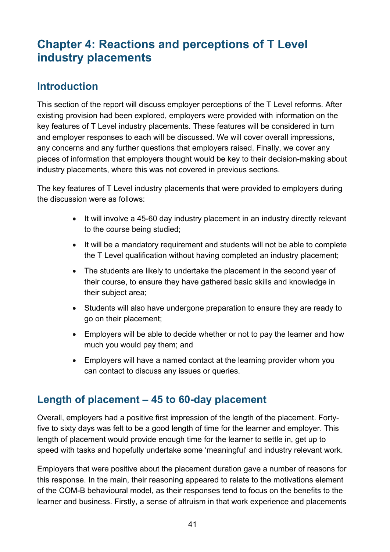# <span id="page-40-0"></span>**Chapter 4: Reactions and perceptions of T Level industry placements**

# <span id="page-40-1"></span>**Introduction**

This section of the report will discuss employer perceptions of the T Level reforms. After existing provision had been explored, employers were provided with information on the key features of T Level industry placements. These features will be considered in turn and employer responses to each will be discussed. We will cover overall impressions, any concerns and any further questions that employers raised. Finally, we cover any pieces of information that employers thought would be key to their decision-making about industry placements, where this was not covered in previous sections.

The key features of T Level industry placements that were provided to employers during the discussion were as follows:

- It will involve a 45-60 day industry placement in an industry directly relevant to the course being studied;
- It will be a mandatory requirement and students will not be able to complete the T Level qualification without having completed an industry placement;
- The students are likely to undertake the placement in the second year of their course, to ensure they have gathered basic skills and knowledge in their subject area;
- Students will also have undergone preparation to ensure they are ready to go on their placement;
- Employers will be able to decide whether or not to pay the learner and how much you would pay them; and
- Employers will have a named contact at the learning provider whom you can contact to discuss any issues or queries.

# <span id="page-40-2"></span>**Length of placement – 45 to 60-day placement**

Overall, employers had a positive first impression of the length of the placement. Fortyfive to sixty days was felt to be a good length of time for the learner and employer. This length of placement would provide enough time for the learner to settle in, get up to speed with tasks and hopefully undertake some 'meaningful' and industry relevant work.

Employers that were positive about the placement duration gave a number of reasons for this response. In the main, their reasoning appeared to relate to the motivations element of the COM-B behavioural model, as their responses tend to focus on the benefits to the learner and business. Firstly, a sense of altruism in that work experience and placements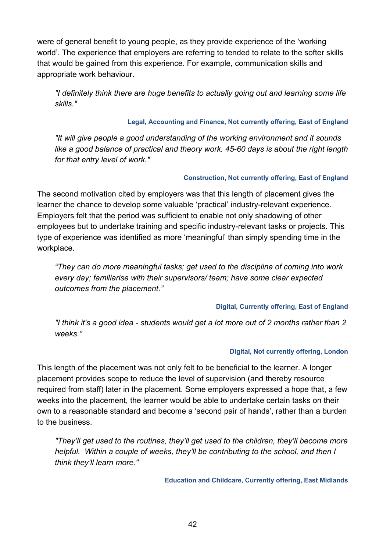were of general benefit to young people, as they provide experience of the 'working world'. The experience that employers are referring to tended to relate to the softer skills that would be gained from this experience. For example, communication skills and appropriate work behaviour.

*"I definitely think there are huge benefits to actually going out and learning some life skills."*

#### **Legal, Accounting and Finance, Not currently offering, East of England**

*"It will give people a good understanding of the working environment and it sounds*  like a good balance of practical and theory work. 45-60 days is about the right length *for that entry level of work."*

#### **Construction, Not currently offering, East of England**

The second motivation cited by employers was that this length of placement gives the learner the chance to develop some valuable 'practical' industry-relevant experience. Employers felt that the period was sufficient to enable not only shadowing of other employees but to undertake training and specific industry-relevant tasks or projects. This type of experience was identified as more 'meaningful' than simply spending time in the workplace.

*"They can do more meaningful tasks; get used to the discipline of coming into work every day; familiarise with their supervisors/ team; have some clear expected outcomes from the placement."*

#### **Digital, Currently offering, East of England**

*"I think it's a good idea - students would get a lot more out of 2 months rather than 2 weeks."*

#### **Digital, Not currently offering, London**

This length of the placement was not only felt to be beneficial to the learner. A longer placement provides scope to reduce the level of supervision (and thereby resource required from staff) later in the placement. Some employers expressed a hope that, a few weeks into the placement, the learner would be able to undertake certain tasks on their own to a reasonable standard and become a 'second pair of hands', rather than a burden to the business.

*"They'll get used to the routines, they'll get used to the children, they'll become more helpful. Within a couple of weeks, they'll be contributing to the school, and then I think they'll learn more."* 

**Education and Childcare, Currently offering, East Midlands**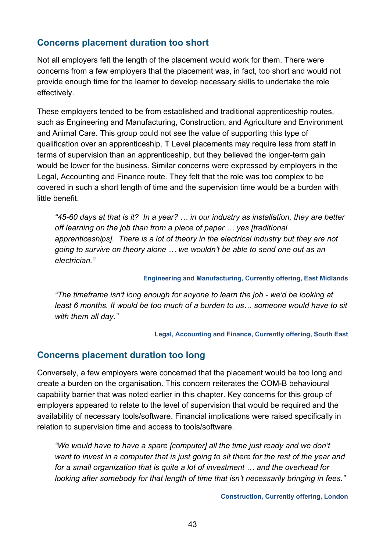### <span id="page-42-0"></span>**Concerns placement duration too short**

Not all employers felt the length of the placement would work for them. There were concerns from a few employers that the placement was, in fact, too short and would not provide enough time for the learner to develop necessary skills to undertake the role effectively.

These employers tended to be from established and traditional apprenticeship routes, such as Engineering and Manufacturing, Construction, and Agriculture and Environment and Animal Care. This group could not see the value of supporting this type of qualification over an apprenticeship. T Level placements may require less from staff in terms of supervision than an apprenticeship, but they believed the longer-term gain would be lower for the business. Similar concerns were expressed by employers in the Legal, Accounting and Finance route. They felt that the role was too complex to be covered in such a short length of time and the supervision time would be a burden with little benefit.

*"45-60 days at that is it? In a year? … in our industry as installation, they are better off learning on the job than from a piece of paper … yes [traditional apprenticeships]. There is a lot of theory in the electrical industry but they are not going to survive on theory alone … we wouldn't be able to send one out as an electrician."*

#### **Engineering and Manufacturing, Currently offering, East Midlands**

*"The timeframe isn't long enough for anyone to learn the job - we'd be looking at least 6 months. It would be too much of a burden to us… someone would have to sit with them all day."*

**Legal, Accounting and Finance, Currently offering, South East**

#### <span id="page-42-1"></span>**Concerns placement duration too long**

Conversely, a few employers were concerned that the placement would be too long and create a burden on the organisation. This concern reiterates the COM-B behavioural capability barrier that was noted earlier in this chapter. Key concerns for this group of employers appeared to relate to the level of supervision that would be required and the availability of necessary tools/software. Financial implications were raised specifically in relation to supervision time and access to tools/software.

*"We would have to have a spare [computer] all the time just ready and we don't want to invest in a computer that is just going to sit there for the rest of the year and for a small organization that is quite a lot of investment … and the overhead for looking after somebody for that length of time that isn't necessarily bringing in fees."*

**Construction, Currently offering, London**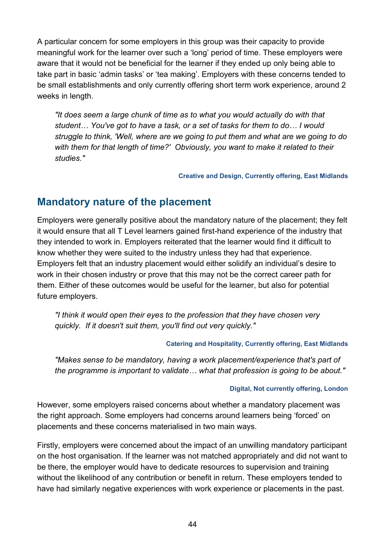A particular concern for some employers in this group was their capacity to provide meaningful work for the learner over such a 'long' period of time. These employers were aware that it would not be beneficial for the learner if they ended up only being able to take part in basic 'admin tasks' or 'tea making'. Employers with these concerns tended to be small establishments and only currently offering short term work experience, around 2 weeks in length.

*"It does seem a large chunk of time as to what you would actually do with that student… You've got to have a task, or a set of tasks for them to do… I would struggle to think, 'Well, where are we going to put them and what are we going to do with them for that length of time?' Obviously, you want to make it related to their studies."*

**Creative and Design, Currently offering, East Midlands**

# <span id="page-43-0"></span>**Mandatory nature of the placement**

Employers were generally positive about the mandatory nature of the placement; they felt it would ensure that all T Level learners gained first-hand experience of the industry that they intended to work in. Employers reiterated that the learner would find it difficult to know whether they were suited to the industry unless they had that experience. Employers felt that an industry placement would either solidify an individual's desire to work in their chosen industry or prove that this may not be the correct career path for them. Either of these outcomes would be useful for the learner, but also for potential future employers.

*"I think it would open their eyes to the profession that they have chosen very quickly. If it doesn't suit them, you'll find out very quickly."*

#### **Catering and Hospitality, Currently offering, East Midlands**

*"Makes sense to be mandatory, having a work placement/experience that's part of the programme is important to validate… what that profession is going to be about."*

#### **Digital, Not currently offering, London**

However, some employers raised concerns about whether a mandatory placement was the right approach. Some employers had concerns around learners being 'forced' on placements and these concerns materialised in two main ways.

Firstly, employers were concerned about the impact of an unwilling mandatory participant on the host organisation. If the learner was not matched appropriately and did not want to be there, the employer would have to dedicate resources to supervision and training without the likelihood of any contribution or benefit in return. These employers tended to have had similarly negative experiences with work experience or placements in the past.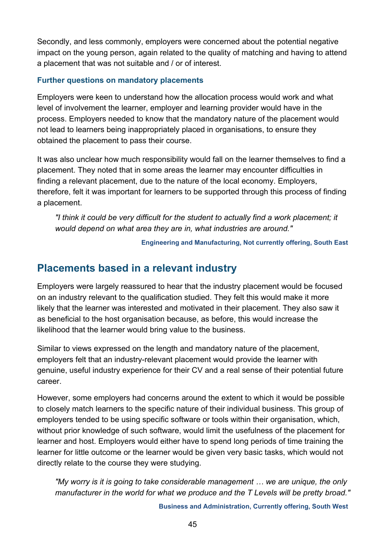Secondly, and less commonly, employers were concerned about the potential negative impact on the young person, again related to the quality of matching and having to attend a placement that was not suitable and / or of interest.

#### **Further questions on mandatory placements**

Employers were keen to understand how the allocation process would work and what level of involvement the learner, employer and learning provider would have in the process. Employers needed to know that the mandatory nature of the placement would not lead to learners being inappropriately placed in organisations, to ensure they obtained the placement to pass their course.

It was also unclear how much responsibility would fall on the learner themselves to find a placement. They noted that in some areas the learner may encounter difficulties in finding a relevant placement, due to the nature of the local economy. Employers, therefore, felt it was important for learners to be supported through this process of finding a placement.

*"I think it could be very difficult for the student to actually find a work placement; it would depend on what area they are in, what industries are around."*

**Engineering and Manufacturing, Not currently offering, South East** 

# <span id="page-44-0"></span>**Placements based in a relevant industry**

Employers were largely reassured to hear that the industry placement would be focused on an industry relevant to the qualification studied. They felt this would make it more likely that the learner was interested and motivated in their placement. They also saw it as beneficial to the host organisation because, as before, this would increase the likelihood that the learner would bring value to the business.

Similar to views expressed on the length and mandatory nature of the placement, employers felt that an industry-relevant placement would provide the learner with genuine, useful industry experience for their CV and a real sense of their potential future career.

However, some employers had concerns around the extent to which it would be possible to closely match learners to the specific nature of their individual business. This group of employers tended to be using specific software or tools within their organisation, which, without prior knowledge of such software, would limit the usefulness of the placement for learner and host. Employers would either have to spend long periods of time training the learner for little outcome or the learner would be given very basic tasks, which would not directly relate to the course they were studying.

*"My worry is it is going to take considerable management … we are unique, the only manufacturer in the world for what we produce and the T Levels will be pretty broad."*

**Business and Administration, Currently offering, South West**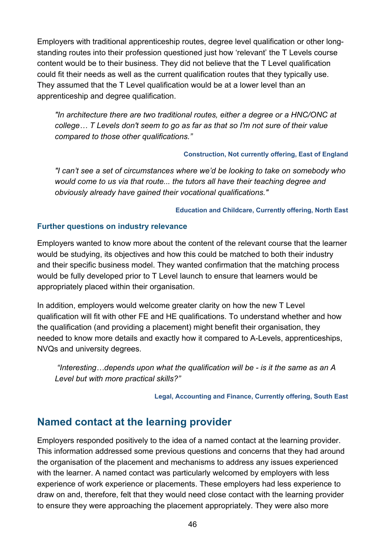Employers with traditional apprenticeship routes, degree level qualification or other longstanding routes into their profession questioned just how 'relevant' the T Levels course content would be to their business. They did not believe that the T Level qualification could fit their needs as well as the current qualification routes that they typically use. They assumed that the T Level qualification would be at a lower level than an apprenticeship and degree qualification.

*"In architecture there are two traditional routes, either a degree or a HNC/ONC at college… T Levels don't seem to go as far as that so I'm not sure of their value compared to those other qualifications."*

#### **Construction, Not currently offering, East of England**

*"I can't see a set of circumstances where we'd be looking to take on somebody who would come to us via that route... the tutors all have their teaching degree and obviously already have gained their vocational qualifications."*

#### **Education and Childcare, Currently offering, North East**

#### **Further questions on industry relevance**

Employers wanted to know more about the content of the relevant course that the learner would be studying, its objectives and how this could be matched to both their industry and their specific business model. They wanted confirmation that the matching process would be fully developed prior to T Level launch to ensure that learners would be appropriately placed within their organisation.

In addition, employers would welcome greater clarity on how the new T Level qualification will fit with other FE and HE qualifications. To understand whether and how the qualification (and providing a placement) might benefit their organisation, they needed to know more details and exactly how it compared to A-Levels, apprenticeships, NVQs and university degrees.

*"Interesting…depends upon what the qualification will be - is it the same as an A Level but with more practical skills?"*

**Legal, Accounting and Finance, Currently offering, South East**

# <span id="page-45-0"></span>**Named contact at the learning provider**

Employers responded positively to the idea of a named contact at the learning provider. This information addressed some previous questions and concerns that they had around the organisation of the placement and mechanisms to address any issues experienced with the learner. A named contact was particularly welcomed by employers with less experience of work experience or placements. These employers had less experience to draw on and, therefore, felt that they would need close contact with the learning provider to ensure they were approaching the placement appropriately. They were also more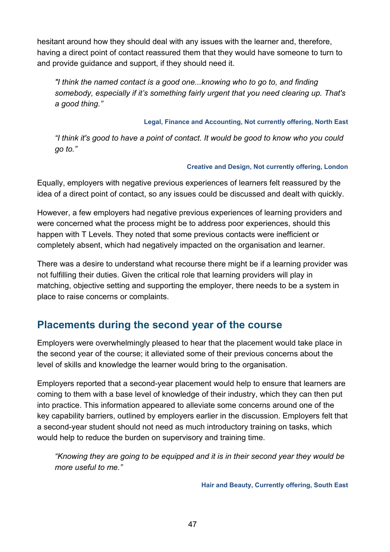hesitant around how they should deal with any issues with the learner and, therefore, having a direct point of contact reassured them that they would have someone to turn to and provide guidance and support, if they should need it.

*"I think the named contact is a good one...knowing who to go to, and finding somebody, especially if it's something fairly urgent that you need clearing up. That's a good thing."*

**Legal, Finance and Accounting, Not currently offering, North East**

*"I think it's good to have a point of contact. It would be good to know who you could go to."*

#### **Creative and Design, Not currently offering, London**

Equally, employers with negative previous experiences of learners felt reassured by the idea of a direct point of contact, so any issues could be discussed and dealt with quickly.

However, a few employers had negative previous experiences of learning providers and were concerned what the process might be to address poor experiences, should this happen with T Levels. They noted that some previous contacts were inefficient or completely absent, which had negatively impacted on the organisation and learner.

There was a desire to understand what recourse there might be if a learning provider was not fulfilling their duties. Given the critical role that learning providers will play in matching, objective setting and supporting the employer, there needs to be a system in place to raise concerns or complaints.

# <span id="page-46-0"></span>**Placements during the second year of the course**

Employers were overwhelmingly pleased to hear that the placement would take place in the second year of the course; it alleviated some of their previous concerns about the level of skills and knowledge the learner would bring to the organisation.

Employers reported that a second-year placement would help to ensure that learners are coming to them with a base level of knowledge of their industry, which they can then put into practice. This information appeared to alleviate some concerns around one of the key capability barriers, outlined by employers earlier in the discussion. Employers felt that a second-year student should not need as much introductory training on tasks, which would help to reduce the burden on supervisory and training time.

*"Knowing they are going to be equipped and it is in their second year they would be more useful to me."*

**Hair and Beauty, Currently offering, South East**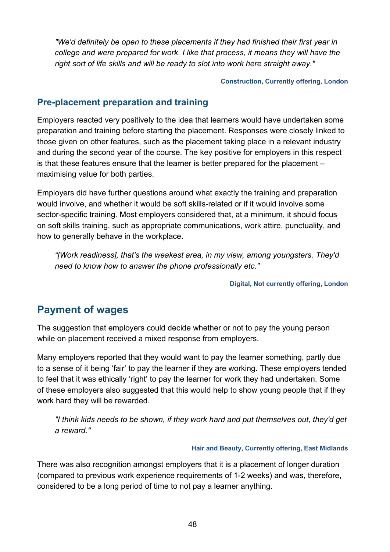*"We'd definitely be open to these placements if they had finished their first year in college and were prepared for work. I like that process, it means they will have the right sort of life skills and will be ready to slot into work here straight away."*

**Construction, Currently offering, London**

#### <span id="page-47-0"></span>**Pre-placement preparation and training**

Employers reacted very positively to the idea that learners would have undertaken some preparation and training before starting the placement. Responses were closely linked to those given on other features, such as the placement taking place in a relevant industry and during the second year of the course. The key positive for employers in this respect is that these features ensure that the learner is better prepared for the placement – maximising value for both parties.

Employers did have further questions around what exactly the training and preparation would involve, and whether it would be soft skills-related or if it would involve some sector-specific training. Most employers considered that, at a minimum, it should focus on soft skills training, such as appropriate communications, work attire, punctuality, and how to generally behave in the workplace.

*"[Work readiness], that's the weakest area, in my view, among youngsters. They'd need to know how to answer the phone professionally etc."*

**Digital, Not currently offering, London**

# <span id="page-47-1"></span>**Payment of wages**

The suggestion that employers could decide whether or not to pay the young person while on placement received a mixed response from employers.

Many employers reported that they would want to pay the learner something, partly due to a sense of it being 'fair' to pay the learner if they are working. These employers tended to feel that it was ethically 'right' to pay the learner for work they had undertaken. Some of these employers also suggested that this would help to show young people that if they work hard they will be rewarded.

*"I think kids needs to be shown, if they work hard and put themselves out, they'd get a reward."* 

#### **Hair and Beauty, Currently offering, East Midlands**

There was also recognition amongst employers that it is a placement of longer duration (compared to previous work experience requirements of 1-2 weeks) and was, therefore, considered to be a long period of time to not pay a learner anything.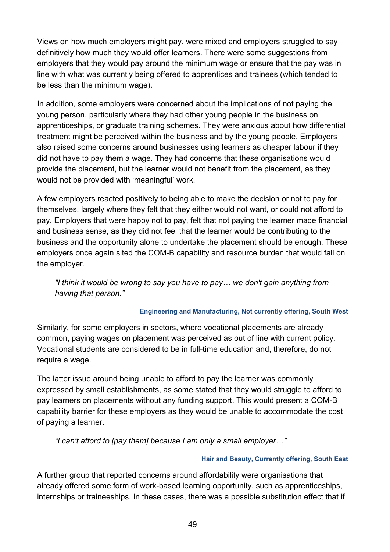Views on how much employers might pay, were mixed and employers struggled to say definitively how much they would offer learners. There were some suggestions from employers that they would pay around the minimum wage or ensure that the pay was in line with what was currently being offered to apprentices and trainees (which tended to be less than the minimum wage).

In addition, some employers were concerned about the implications of not paying the young person, particularly where they had other young people in the business on apprenticeships, or graduate training schemes. They were anxious about how differential treatment might be perceived within the business and by the young people. Employers also raised some concerns around businesses using learners as cheaper labour if they did not have to pay them a wage. They had concerns that these organisations would provide the placement, but the learner would not benefit from the placement, as they would not be provided with 'meaningful' work.

A few employers reacted positively to being able to make the decision or not to pay for themselves, largely where they felt that they either would not want, or could not afford to pay. Employers that were happy not to pay, felt that not paying the learner made financial and business sense, as they did not feel that the learner would be contributing to the business and the opportunity alone to undertake the placement should be enough. These employers once again sited the COM-B capability and resource burden that would fall on the employer.

*"I think it would be wrong to say you have to pay… we don't gain anything from having that person."*

#### **Engineering and Manufacturing, Not currently offering, South West**

Similarly, for some employers in sectors, where vocational placements are already common, paying wages on placement was perceived as out of line with current policy. Vocational students are considered to be in full-time education and, therefore, do not require a wage.

The latter issue around being unable to afford to pay the learner was commonly expressed by small establishments, as some stated that they would struggle to afford to pay learners on placements without any funding support. This would present a COM-B capability barrier for these employers as they would be unable to accommodate the cost of paying a learner.

*"I can't afford to [pay them] because I am only a small employer…"*

#### **Hair and Beauty, Currently offering, South East**

A further group that reported concerns around affordability were organisations that already offered some form of work-based learning opportunity, such as apprenticeships, internships or traineeships. In these cases, there was a possible substitution effect that if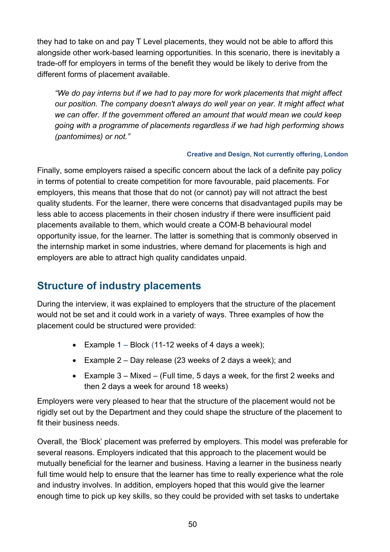they had to take on and pay T Level placements, they would not be able to afford this alongside other work-based learning opportunities. In this scenario, there is inevitably a trade-off for employers in terms of the benefit they would be likely to derive from the different forms of placement available.

*"We do pay interns but if we had to pay more for work placements that might affect our position. The company doesn't always do well year on year. It might affect what we can offer. If the government offered an amount that would mean we could keep going with a programme of placements regardless if we had high performing shows (pantomimes) or not."*

#### **Creative and Design, Not currently offering, London**

Finally, some employers raised a specific concern about the lack of a definite pay policy in terms of potential to create competition for more favourable, paid placements. For employers, this means that those that do not (or cannot) pay will not attract the best quality students. For the learner, there were concerns that disadvantaged pupils may be less able to access placements in their chosen industry if there were insufficient paid placements available to them, which would create a COM-B behavioural model opportunity issue, for the learner. The latter is something that is commonly observed in the internship market in some industries, where demand for placements is high and employers are able to attract high quality candidates unpaid.

# <span id="page-49-0"></span>**Structure of industry placements**

During the interview, it was explained to employers that the structure of the placement would not be set and it could work in a variety of ways. Three examples of how the placement could be structured were provided:

- Example  $1 Block$  (11-12 weeks of 4 days a week);
- Example 2 Day release (23 weeks of 2 days a week); and
- Example 3 Mixed (Full time, 5 days a week, for the first 2 weeks and then 2 days a week for around 18 weeks)

Employers were very pleased to hear that the structure of the placement would not be rigidly set out by the Department and they could shape the structure of the placement to fit their business needs.

Overall, the 'Block' placement was preferred by employers. This model was preferable for several reasons. Employers indicated that this approach to the placement would be mutually beneficial for the learner and business. Having a learner in the business nearly full time would help to ensure that the learner has time to really experience what the role and industry involves. In addition, employers hoped that this would give the learner enough time to pick up key skills, so they could be provided with set tasks to undertake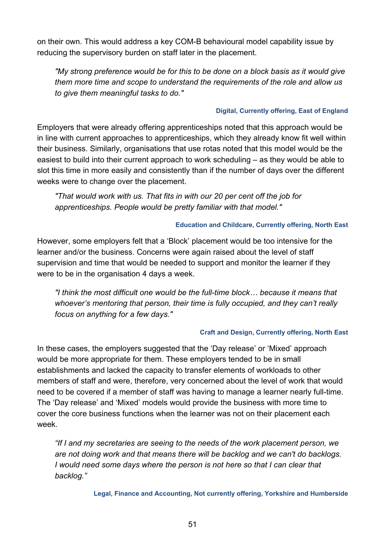on their own. This would address a key COM-B behavioural model capability issue by reducing the supervisory burden on staff later in the placement.

*"My strong preference would be for this to be done on a block basis as it would give them more time and scope to understand the requirements of the role and allow us to give them meaningful tasks to do."*

#### **Digital, Currently offering, East of England**

Employers that were already offering apprenticeships noted that this approach would be in line with current approaches to apprenticeships, which they already know fit well within their business. Similarly, organisations that use rotas noted that this model would be the easiest to build into their current approach to work scheduling – as they would be able to slot this time in more easily and consistently than if the number of days over the different weeks were to change over the placement.

*"That would work with us. That fits in with our 20 per cent off the job for apprenticeships. People would be pretty familiar with that model."*

#### **Education and Childcare, Currently offering, North East**

However, some employers felt that a 'Block' placement would be too intensive for the learner and/or the business. Concerns were again raised about the level of staff supervision and time that would be needed to support and monitor the learner if they were to be in the organisation 4 days a week.

*"I think the most difficult one would be the full-time block… because it means that whoever's mentoring that person, their time is fully occupied, and they can't really focus on anything for a few days."*

#### **Craft and Design, Currently offering, North East**

In these cases, the employers suggested that the 'Day release' or 'Mixed' approach would be more appropriate for them. These employers tended to be in small establishments and lacked the capacity to transfer elements of workloads to other members of staff and were, therefore, very concerned about the level of work that would need to be covered if a member of staff was having to manage a learner nearly full-time. The 'Day release' and 'Mixed' models would provide the business with more time to cover the core business functions when the learner was not on their placement each week.

*"If I and my secretaries are seeing to the needs of the work placement person, we are not doing work and that means there will be backlog and we can't do backlogs. I* would need some days where the person is not here so that I can clear that *backlog."*

**Legal, Finance and Accounting, Not currently offering, Yorkshire and Humberside**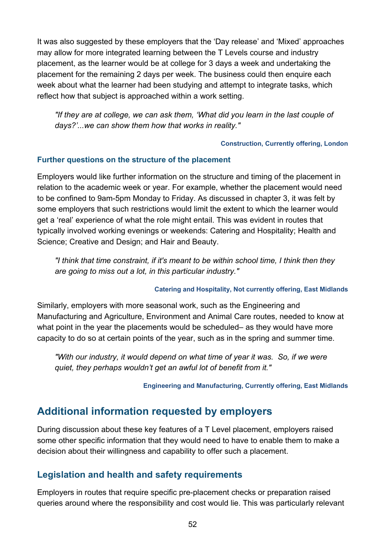It was also suggested by these employers that the 'Day release' and 'Mixed' approaches may allow for more integrated learning between the T Levels course and industry placement, as the learner would be at college for 3 days a week and undertaking the placement for the remaining 2 days per week. The business could then enquire each week about what the learner had been studying and attempt to integrate tasks, which reflect how that subject is approached within a work setting.

*"If they are at college, we can ask them, 'What did you learn in the last couple of days?'...we can show them how that works in reality."*

#### **Construction, Currently offering, London**

#### **Further questions on the structure of the placement**

Employers would like further information on the structure and timing of the placement in relation to the academic week or year. For example, whether the placement would need to be confined to 9am-5pm Monday to Friday. As discussed in chapter 3, it was felt by some employers that such restrictions would limit the extent to which the learner would get a 'real' experience of what the role might entail. This was evident in routes that typically involved working evenings or weekends: Catering and Hospitality; Health and Science; Creative and Design; and Hair and Beauty.

*"I think that time constraint, if it's meant to be within school time, I think then they are going to miss out a lot, in this particular industry."*

#### **Catering and Hospitality, Not currently offering, East Midlands**

Similarly, employers with more seasonal work, such as the Engineering and Manufacturing and Agriculture, Environment and Animal Care routes, needed to know at what point in the year the placements would be scheduled– as they would have more capacity to do so at certain points of the year, such as in the spring and summer time.

*"With our industry, it would depend on what time of year it was. So, if we were quiet, they perhaps wouldn't get an awful lot of benefit from it."*

**Engineering and Manufacturing, Currently offering, East Midlands**

# <span id="page-51-0"></span>**Additional information requested by employers**

During discussion about these key features of a T Level placement, employers raised some other specific information that they would need to have to enable them to make a decision about their willingness and capability to offer such a placement.

### <span id="page-51-1"></span>**Legislation and health and safety requirements**

Employers in routes that require specific pre-placement checks or preparation raised queries around where the responsibility and cost would lie. This was particularly relevant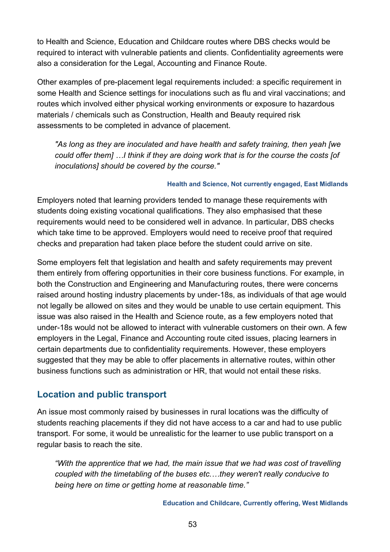to Health and Science, Education and Childcare routes where DBS checks would be required to interact with vulnerable patients and clients. Confidentiality agreements were also a consideration for the Legal, Accounting and Finance Route.

Other examples of pre-placement legal requirements included: a specific requirement in some Health and Science settings for inoculations such as flu and viral vaccinations; and routes which involved either physical working environments or exposure to hazardous materials / chemicals such as Construction, Health and Beauty required risk assessments to be completed in advance of placement.

*"As long as they are inoculated and have health and safety training, then yeah [we could offer them] …I think if they are doing work that is for the course the costs [of inoculations] should be covered by the course."*

#### **Health and Science, Not currently engaged, East Midlands**

Employers noted that learning providers tended to manage these requirements with students doing existing vocational qualifications. They also emphasised that these requirements would need to be considered well in advance. In particular, DBS checks which take time to be approved. Employers would need to receive proof that required checks and preparation had taken place before the student could arrive on site.

Some employers felt that legislation and health and safety requirements may prevent them entirely from offering opportunities in their core business functions. For example, in both the Construction and Engineering and Manufacturing routes, there were concerns raised around hosting industry placements by under-18s, as individuals of that age would not legally be allowed on sites and they would be unable to use certain equipment. This issue was also raised in the Health and Science route, as a few employers noted that under-18s would not be allowed to interact with vulnerable customers on their own. A few employers in the Legal, Finance and Accounting route cited issues, placing learners in certain departments due to confidentiality requirements. However, these employers suggested that they may be able to offer placements in alternative routes, within other business functions such as administration or HR, that would not entail these risks.

### <span id="page-52-0"></span>**Location and public transport**

An issue most commonly raised by businesses in rural locations was the difficulty of students reaching placements if they did not have access to a car and had to use public transport. For some, it would be unrealistic for the learner to use public transport on a regular basis to reach the site.

*"With the apprentice that we had, the main issue that we had was cost of travelling coupled with the timetabling of the buses etc.…they weren't really conducive to being here on time or getting home at reasonable time."*

**Education and Childcare, Currently offering, West Midlands**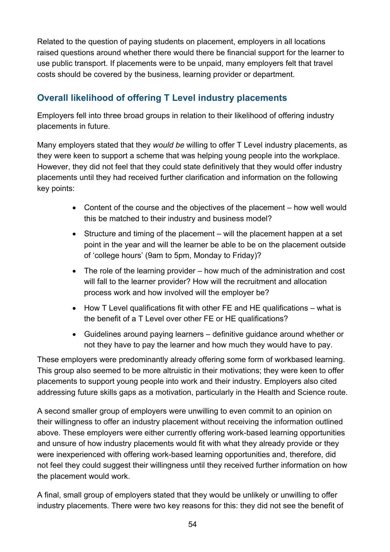Related to the question of paying students on placement, employers in all locations raised questions around whether there would there be financial support for the learner to use public transport. If placements were to be unpaid, many employers felt that travel costs should be covered by the business, learning provider or department.

# <span id="page-53-0"></span>**Overall likelihood of offering T Level industry placements**

Employers fell into three broad groups in relation to their likelihood of offering industry placements in future.

Many employers stated that they *would be* willing to offer T Level industry placements, as they were keen to support a scheme that was helping young people into the workplace. However, they did not feel that they could state definitively that they would offer industry placements until they had received further clarification and information on the following key points:

- Content of the course and the objectives of the placement how well would this be matched to their industry and business model?
- Structure and timing of the placement will the placement happen at a set point in the year and will the learner be able to be on the placement outside of 'college hours' (9am to 5pm, Monday to Friday)?
- The role of the learning provider how much of the administration and cost will fall to the learner provider? How will the recruitment and allocation process work and how involved will the employer be?
- How T Level qualifications fit with other FE and HE qualifications what is the benefit of a T Level over other FE or HE qualifications?
- Guidelines around paying learners definitive guidance around whether or not they have to pay the learner and how much they would have to pay.

These employers were predominantly already offering some form of workbased learning. This group also seemed to be more altruistic in their motivations; they were keen to offer placements to support young people into work and their industry. Employers also cited addressing future skills gaps as a motivation, particularly in the Health and Science route.

A second smaller group of employers were unwilling to even commit to an opinion on their willingness to offer an industry placement without receiving the information outlined above. These employers were either currently offering work-based learning opportunities and unsure of how industry placements would fit with what they already provide or they were inexperienced with offering work-based learning opportunities and, therefore, did not feel they could suggest their willingness until they received further information on how the placement would work.

A final, small group of employers stated that they would be unlikely or unwilling to offer industry placements. There were two key reasons for this: they did not see the benefit of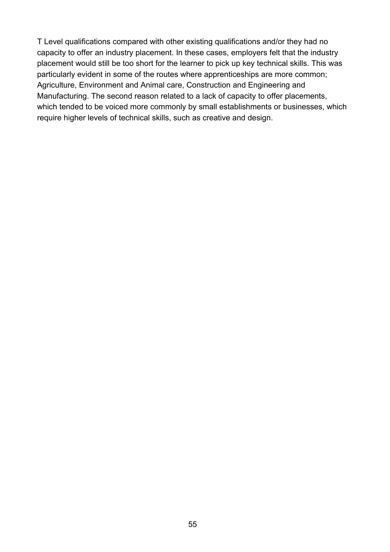T Level qualifications compared with other existing qualifications and/or they had no capacity to offer an industry placement. In these cases, employers felt that the industry placement would still be too short for the learner to pick up key technical skills. This was particularly evident in some of the routes where apprenticeships are more common; Agriculture, Environment and Animal care, Construction and Engineering and Manufacturing. The second reason related to a lack of capacity to offer placements, which tended to be voiced more commonly by small establishments or businesses, which require higher levels of technical skills, such as creative and design.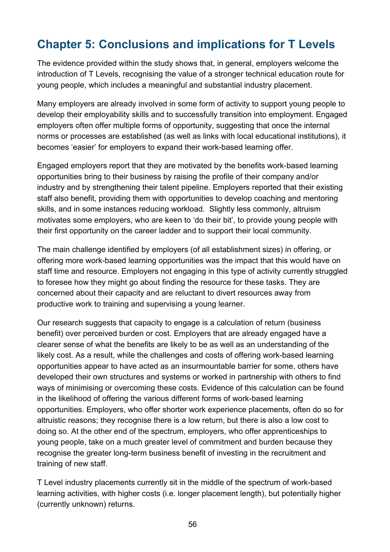# <span id="page-55-0"></span>**Chapter 5: Conclusions and implications for T Levels**

The evidence provided within the study shows that, in general, employers welcome the introduction of T Levels, recognising the value of a stronger technical education route for young people, which includes a meaningful and substantial industry placement.

Many employers are already involved in some form of activity to support young people to develop their employability skills and to successfully transition into employment. Engaged employers often offer multiple forms of opportunity, suggesting that once the internal norms or processes are established (as well as links with local educational institutions), it becomes 'easier' for employers to expand their work-based learning offer.

Engaged employers report that they are motivated by the benefits work-based learning opportunities bring to their business by raising the profile of their company and/or industry and by strengthening their talent pipeline. Employers reported that their existing staff also benefit, providing them with opportunities to develop coaching and mentoring skills, and in some instances reducing workload. Slightly less commonly, altruism motivates some employers, who are keen to 'do their bit', to provide young people with their first opportunity on the career ladder and to support their local community.

The main challenge identified by employers (of all establishment sizes) in offering, or offering more work-based learning opportunities was the impact that this would have on staff time and resource. Employers not engaging in this type of activity currently struggled to foresee how they might go about finding the resource for these tasks. They are concerned about their capacity and are reluctant to divert resources away from productive work to training and supervising a young learner.

Our research suggests that capacity to engage is a calculation of return (business benefit) over perceived burden or cost. Employers that are already engaged have a clearer sense of what the benefits are likely to be as well as an understanding of the likely cost. As a result, while the challenges and costs of offering work-based learning opportunities appear to have acted as an insurmountable barrier for some, others have developed their own structures and systems or worked in partnership with others to find ways of minimising or overcoming these costs. Evidence of this calculation can be found in the likelihood of offering the various different forms of work-based learning opportunities. Employers, who offer shorter work experience placements, often do so for altruistic reasons; they recognise there is a low return, but there is also a low cost to doing so. At the other end of the spectrum, employers, who offer apprenticeships to young people, take on a much greater level of commitment and burden because they recognise the greater long-term business benefit of investing in the recruitment and training of new staff.

T Level industry placements currently sit in the middle of the spectrum of work-based learning activities, with higher costs (i.e. longer placement length), but potentially higher (currently unknown) returns.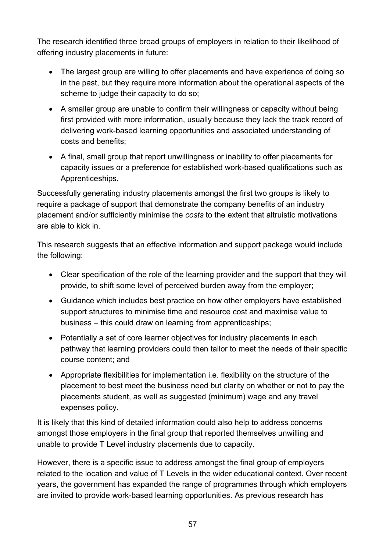The research identified three broad groups of employers in relation to their likelihood of offering industry placements in future:

- The largest group are willing to offer placements and have experience of doing so in the past, but they require more information about the operational aspects of the scheme to judge their capacity to do so;
- A smaller group are unable to confirm their willingness or capacity without being first provided with more information, usually because they lack the track record of delivering work-based learning opportunities and associated understanding of costs and benefits;
- A final, small group that report unwillingness or inability to offer placements for capacity issues or a preference for established work-based qualifications such as Apprenticeships.

Successfully generating industry placements amongst the first two groups is likely to require a package of support that demonstrate the company benefits of an industry placement and/or sufficiently minimise the *costs* to the extent that altruistic motivations are able to kick in.

This research suggests that an effective information and support package would include the following:

- Clear specification of the role of the learning provider and the support that they will provide, to shift some level of perceived burden away from the employer;
- Guidance which includes best practice on how other employers have established support structures to minimise time and resource cost and maximise value to business – this could draw on learning from apprenticeships;
- Potentially a set of core learner objectives for industry placements in each pathway that learning providers could then tailor to meet the needs of their specific course content; and
- Appropriate flexibilities for implementation i.e. flexibility on the structure of the placement to best meet the business need but clarity on whether or not to pay the placements student, as well as suggested (minimum) wage and any travel expenses policy.

It is likely that this kind of detailed information could also help to address concerns amongst those employers in the final group that reported themselves unwilling and unable to provide T Level industry placements due to capacity.

However, there is a specific issue to address amongst the final group of employers related to the location and value of T Levels in the wider educational context. Over recent years, the government has expanded the range of programmes through which employers are invited to provide work-based learning opportunities. As previous research has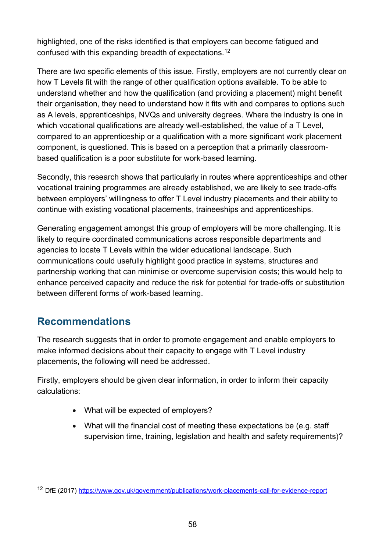highlighted, one of the risks identified is that employers can become fatigued and confused with this expanding breadth of expectations.[12](#page-57-1) 

There are two specific elements of this issue. Firstly, employers are not currently clear on how T Levels fit with the range of other qualification options available. To be able to understand whether and how the qualification (and providing a placement) might benefit their organisation, they need to understand how it fits with and compares to options such as A levels, apprenticeships, NVQs and university degrees. Where the industry is one in which vocational qualifications are already well-established, the value of a T Level, compared to an apprenticeship or a qualification with a more significant work placement component, is questioned. This is based on a perception that a primarily classroombased qualification is a poor substitute for work-based learning.

Secondly, this research shows that particularly in routes where apprenticeships and other vocational training programmes are already established, we are likely to see trade-offs between employers' willingness to offer T Level industry placements and their ability to continue with existing vocational placements, traineeships and apprenticeships.

Generating engagement amongst this group of employers will be more challenging. It is likely to require coordinated communications across responsible departments and agencies to locate T Levels within the wider educational landscape. Such communications could usefully highlight good practice in systems, structures and partnership working that can minimise or overcome supervision costs; this would help to enhance perceived capacity and reduce the risk for potential for trade-offs or substitution between different forms of work-based learning.

# <span id="page-57-0"></span>**Recommendations**

 $\overline{a}$ 

The research suggests that in order to promote engagement and enable employers to make informed decisions about their capacity to engage with T Level industry placements, the following will need be addressed.

Firstly, employers should be given clear information, in order to inform their capacity calculations:

- What will be expected of employers?
- What will the financial cost of meeting these expectations be (e.g. staff supervision time, training, legislation and health and safety requirements)?

<span id="page-57-1"></span><sup>12</sup> DfE (2017)<https://www.gov.uk/government/publications/work-placements-call-for-evidence-report>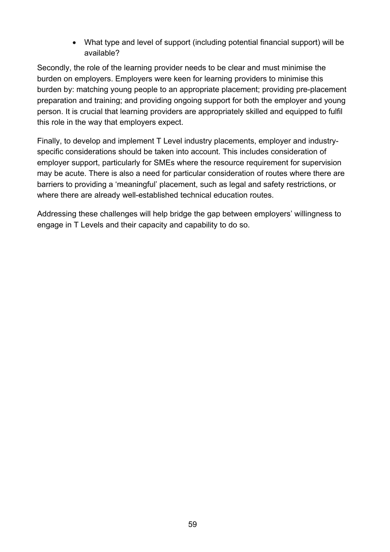• What type and level of support (including potential financial support) will be available?

Secondly, the role of the learning provider needs to be clear and must minimise the burden on employers. Employers were keen for learning providers to minimise this burden by: matching young people to an appropriate placement; providing pre-placement preparation and training; and providing ongoing support for both the employer and young person. It is crucial that learning providers are appropriately skilled and equipped to fulfil this role in the way that employers expect.

Finally, to develop and implement T Level industry placements, employer and industryspecific considerations should be taken into account. This includes consideration of employer support, particularly for SMEs where the resource requirement for supervision may be acute. There is also a need for particular consideration of routes where there are barriers to providing a 'meaningful' placement, such as legal and safety restrictions, or where there are already well-established technical education routes.

Addressing these challenges will help bridge the gap between employers' willingness to engage in T Levels and their capacity and capability to do so.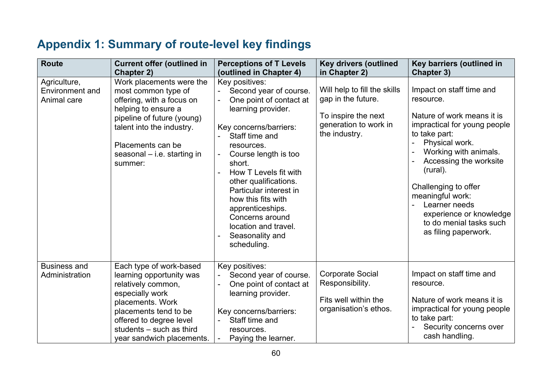# **Appendix 1: Summary of route-level key findings**

<span id="page-59-0"></span>

| <b>Route</b>                                   | <b>Current offer (outlined in</b><br>Chapter 2)                                                                                                                                                                                 | <b>Perceptions of T Levels</b><br>(outlined in Chapter 4)                                                                                                                                                                                                                                                                                                                                                                              | <b>Key drivers (outlined</b><br>in Chapter 2)                                                                       | Key barriers (outlined in<br><b>Chapter 3)</b>                                                                                                                                                                                                                                                                                                   |
|------------------------------------------------|---------------------------------------------------------------------------------------------------------------------------------------------------------------------------------------------------------------------------------|----------------------------------------------------------------------------------------------------------------------------------------------------------------------------------------------------------------------------------------------------------------------------------------------------------------------------------------------------------------------------------------------------------------------------------------|---------------------------------------------------------------------------------------------------------------------|--------------------------------------------------------------------------------------------------------------------------------------------------------------------------------------------------------------------------------------------------------------------------------------------------------------------------------------------------|
| Agriculture,<br>Environment and<br>Animal care | Work placements were the<br>most common type of<br>offering, with a focus on<br>helping to ensure a<br>pipeline of future (young)<br>talent into the industry.<br>Placements can be<br>seasonal $-$ i.e. starting in<br>summer: | Key positives:<br>Second year of course.<br>One point of contact at<br>$\blacksquare$<br>learning provider.<br>Key concerns/barriers:<br>Staff time and<br>resources.<br>Course length is too<br>$\overline{\phantom{a}}$<br>short.<br>How T Levels fit with<br>other qualifications.<br>Particular interest in<br>how this fits with<br>apprenticeships.<br>Concerns around<br>location and travel.<br>Seasonality and<br>scheduling. | Will help to fill the skills<br>gap in the future.<br>To inspire the next<br>generation to work in<br>the industry. | Impact on staff time and<br>resource.<br>Nature of work means it is<br>impractical for young people<br>to take part:<br>Physical work.<br>Working with animals.<br>Accessing the worksite<br>(rural).<br>Challenging to offer<br>meaningful work:<br>Learner needs<br>experience or knowledge<br>to do menial tasks such<br>as filing paperwork. |
| <b>Business and</b><br>Administration          | Each type of work-based<br>learning opportunity was<br>relatively common,<br>especially work<br>placements. Work<br>placements tend to be<br>offered to degree level<br>students - such as third<br>year sandwich placements.   | Key positives:<br>Second year of course.<br>One point of contact at<br>$\overline{a}$<br>learning provider.<br>Key concerns/barriers:<br>Staff time and<br>resources.<br>Paying the learner.<br>$\overline{\phantom{a}}$                                                                                                                                                                                                               | <b>Corporate Social</b><br>Responsibility.<br>Fits well within the<br>organisation's ethos.                         | Impact on staff time and<br>resource.<br>Nature of work means it is<br>impractical for young people<br>to take part:<br>Security concerns over<br>cash handling.                                                                                                                                                                                 |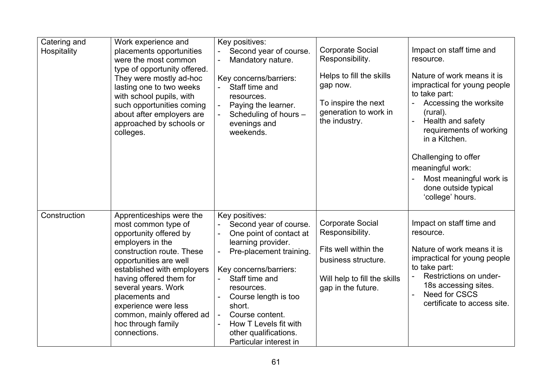| Catering and<br>Hospitality | Work experience and<br>placements opportunities<br>were the most common<br>type of opportunity offered.<br>They were mostly ad-hoc<br>lasting one to two weeks<br>with school pupils, with<br>such opportunities coming<br>about after employers are<br>approached by schools or<br>colleges.                                                     | Key positives:<br>Second year of course.<br>Mandatory nature.<br>Key concerns/barriers:<br>Staff time and<br>resources.<br>Paying the learner.<br>$\overline{\phantom{a}}$<br>Scheduling of hours -<br>evenings and<br>weekends.                                                                                                                                                          | <b>Corporate Social</b><br>Responsibility.<br>Helps to fill the skills<br>gap now.<br>To inspire the next<br>generation to work in<br>the industry. | Impact on staff time and<br>resource.<br>Nature of work means it is<br>impractical for young people<br>to take part:<br>Accessing the worksite<br>(rural).<br>Health and safety<br>$\blacksquare$<br>requirements of working<br>in a Kitchen.<br>Challenging to offer<br>meaningful work:<br>Most meaningful work is<br>done outside typical<br>'college' hours. |
|-----------------------------|---------------------------------------------------------------------------------------------------------------------------------------------------------------------------------------------------------------------------------------------------------------------------------------------------------------------------------------------------|-------------------------------------------------------------------------------------------------------------------------------------------------------------------------------------------------------------------------------------------------------------------------------------------------------------------------------------------------------------------------------------------|-----------------------------------------------------------------------------------------------------------------------------------------------------|------------------------------------------------------------------------------------------------------------------------------------------------------------------------------------------------------------------------------------------------------------------------------------------------------------------------------------------------------------------|
| Construction                | Apprenticeships were the<br>most common type of<br>opportunity offered by<br>employers in the<br>construction route. These<br>opportunities are well<br>established with employers<br>having offered them for<br>several years. Work<br>placements and<br>experience were less<br>common, mainly offered ad<br>hoc through family<br>connections. | Key positives:<br>Second year of course.<br>$\overline{\phantom{a}}$<br>One point of contact at<br>$\blacksquare$<br>learning provider.<br>Pre-placement training.<br>Key concerns/barriers:<br>Staff time and<br>resources.<br>Course length is too<br>short.<br>Course content.<br>$\overline{\phantom{a}}$<br>How T Levels fit with<br>other qualifications.<br>Particular interest in | <b>Corporate Social</b><br>Responsibility.<br>Fits well within the<br>business structure.<br>Will help to fill the skills<br>gap in the future.     | Impact on staff time and<br>resource.<br>Nature of work means it is<br>impractical for young people<br>to take part:<br>Restrictions on under-<br>18s accessing sites.<br><b>Need for CSCS</b><br>certificate to access site.                                                                                                                                    |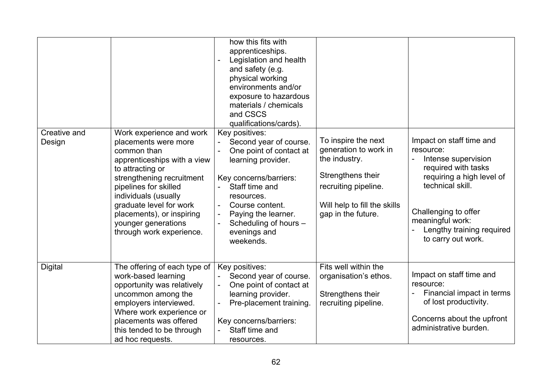| Creative and<br>Design | Work experience and work<br>placements were more<br>common than<br>apprenticeships with a view<br>to attracting or<br>strengthening recruitment<br>pipelines for skilled<br>individuals (usually<br>graduate level for work<br>placements), or inspiring<br>younger generations<br>through work experience. | how this fits with<br>apprenticeships.<br>Legislation and health<br>and safety (e.g.<br>physical working<br>environments and/or<br>exposure to hazardous<br>materials / chemicals<br>and CSCS<br>qualifications/cards).<br>Key positives:<br>Second year of course.<br>One point of contact at<br>learning provider.<br>Key concerns/barriers:<br>Staff time and<br>resources.<br>Course content.<br>Paying the learner.<br>$\overline{\phantom{a}}$<br>Scheduling of hours -<br>evenings and<br>weekends. | To inspire the next<br>generation to work in<br>the industry.<br>Strengthens their<br>recruiting pipeline.<br>Will help to fill the skills<br>gap in the future. | Impact on staff time and<br>resource:<br>Intense supervision<br>required with tasks<br>requiring a high level of<br>technical skill.<br>Challenging to offer<br>meaningful work:<br>Lengthy training required<br>to carry out work. |
|------------------------|-------------------------------------------------------------------------------------------------------------------------------------------------------------------------------------------------------------------------------------------------------------------------------------------------------------|------------------------------------------------------------------------------------------------------------------------------------------------------------------------------------------------------------------------------------------------------------------------------------------------------------------------------------------------------------------------------------------------------------------------------------------------------------------------------------------------------------|------------------------------------------------------------------------------------------------------------------------------------------------------------------|-------------------------------------------------------------------------------------------------------------------------------------------------------------------------------------------------------------------------------------|
| <b>Digital</b>         | The offering of each type of<br>work-based learning<br>opportunity was relatively<br>uncommon among the<br>employers interviewed.                                                                                                                                                                           | Key positives:<br>Second year of course.<br>One point of contact at<br>learning provider.<br>Pre-placement training.                                                                                                                                                                                                                                                                                                                                                                                       | Fits well within the<br>organisation's ethos.<br>Strengthens their<br>recruiting pipeline.                                                                       | Impact on staff time and<br>resource:<br>Financial impact in terms<br>of lost productivity.                                                                                                                                         |
|                        | Where work experience or<br>placements was offered<br>this tended to be through<br>ad hoc requests.                                                                                                                                                                                                         | Key concerns/barriers:<br>Staff time and<br>resources.                                                                                                                                                                                                                                                                                                                                                                                                                                                     |                                                                                                                                                                  | Concerns about the upfront<br>administrative burden.                                                                                                                                                                                |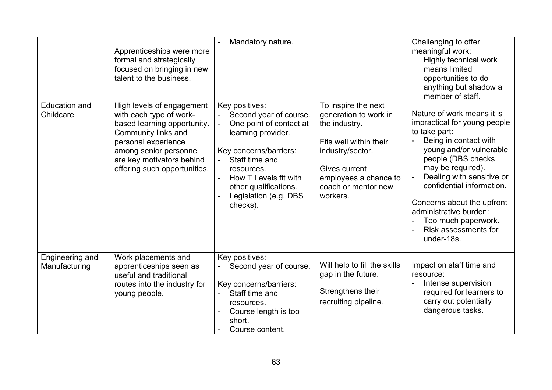|                                   | Apprenticeships were more<br>formal and strategically<br>focused on bringing in new<br>talent to the business.                                                                                                           | Mandatory nature.                                                                                                                                                                                                                          |                                                                                                                                                                                          | Challenging to offer<br>meaningful work:<br>Highly technical work<br>means limited<br>opportunities to do<br>anything but shadow a<br>member of staff.                                                                                                                                                                                                    |
|-----------------------------------|--------------------------------------------------------------------------------------------------------------------------------------------------------------------------------------------------------------------------|--------------------------------------------------------------------------------------------------------------------------------------------------------------------------------------------------------------------------------------------|------------------------------------------------------------------------------------------------------------------------------------------------------------------------------------------|-----------------------------------------------------------------------------------------------------------------------------------------------------------------------------------------------------------------------------------------------------------------------------------------------------------------------------------------------------------|
| <b>Education and</b><br>Childcare | High levels of engagement<br>with each type of work-<br>based learning opportunity.<br>Community links and<br>personal experience<br>among senior personnel<br>are key motivators behind<br>offering such opportunities. | Key positives:<br>Second year of course.<br>One point of contact at<br>learning provider.<br>Key concerns/barriers:<br>Staff time and<br>resources.<br>How T Levels fit with<br>other qualifications.<br>Legislation (e.g. DBS<br>checks). | To inspire the next<br>generation to work in<br>the industry.<br>Fits well within their<br>industry/sector.<br>Gives current<br>employees a chance to<br>coach or mentor new<br>workers. | Nature of work means it is<br>impractical for young people<br>to take part:<br>Being in contact with<br>young and/or vulnerable<br>people (DBS checks<br>may be required).<br>Dealing with sensitive or<br>confidential information.<br>Concerns about the upfront<br>administrative burden:<br>Too much paperwork.<br>Risk assessments for<br>under-18s. |
| Engineering and<br>Manufacturing  | Work placements and<br>apprenticeships seen as<br>useful and traditional<br>routes into the industry for<br>young people.                                                                                                | Key positives:<br>Second year of course.<br>Key concerns/barriers:<br>Staff time and<br>resources.<br>Course length is too<br>short.<br>Course content.                                                                                    | Will help to fill the skills<br>gap in the future.<br>Strengthens their<br>recruiting pipeline.                                                                                          | Impact on staff time and<br>resource:<br>Intense supervision<br>required for learners to<br>carry out potentially<br>dangerous tasks.                                                                                                                                                                                                                     |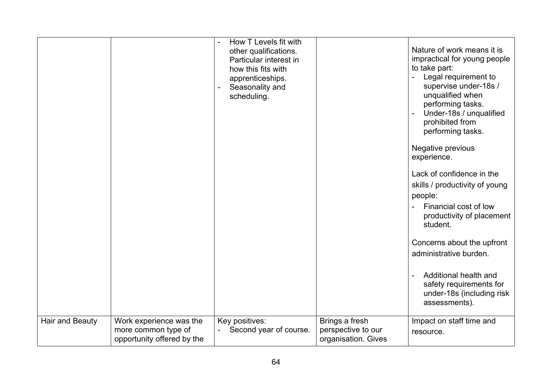|                        |                                                                              | How T Levels fit with<br>other qualifications.<br>Particular interest in<br>how this fits with<br>apprenticeships.<br>Seasonality and<br>scheduling. |                                                             | Nature of work means it is<br>impractical for young people<br>to take part:<br>Legal requirement to<br>supervise under-18s /<br>unqualified when<br>performing tasks.<br>Under-18s / unqualified<br>prohibited from<br>performing tasks.<br>Negative previous<br>experience.<br>Lack of confidence in the<br>skills / productivity of young<br>people:<br>Financial cost of low<br>productivity of placement<br>student.<br>Concerns about the upfront<br>administrative burden.<br>Additional health and<br>safety requirements for<br>under-18s (including risk<br>assessments). |
|------------------------|------------------------------------------------------------------------------|------------------------------------------------------------------------------------------------------------------------------------------------------|-------------------------------------------------------------|------------------------------------------------------------------------------------------------------------------------------------------------------------------------------------------------------------------------------------------------------------------------------------------------------------------------------------------------------------------------------------------------------------------------------------------------------------------------------------------------------------------------------------------------------------------------------------|
| <b>Hair and Beauty</b> | Work experience was the<br>more common type of<br>opportunity offered by the | Key positives:<br>Second year of course.                                                                                                             | Brings a fresh<br>perspective to our<br>organisation. Gives | Impact on staff time and<br>resource.                                                                                                                                                                                                                                                                                                                                                                                                                                                                                                                                              |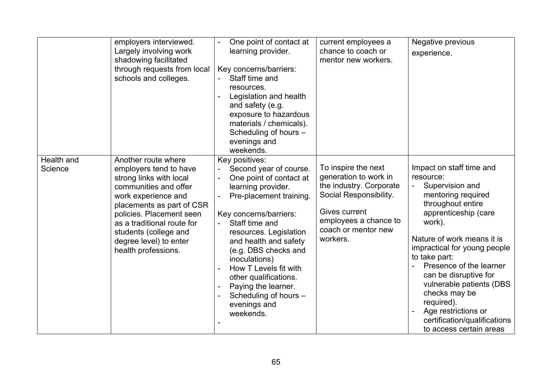|                       | employers interviewed.<br>Largely involving work<br>shadowing facilitated<br>through requests from local<br>schools and colleges.                                                                                                                                                         | One point of contact at<br>$\overline{a}$<br>learning provider.<br>Key concerns/barriers:<br>Staff time and<br>resources.<br>Legislation and health<br>and safety (e.g.<br>exposure to hazardous<br>materials / chemicals).<br>Scheduling of hours -<br>evenings and<br>weekends.                                                                                                           | current employees a<br>chance to coach or<br>mentor new workers.                                                                                                               | Negative previous<br>experience.                                                                                                                                                                                                                                                                                                                                                                                      |
|-----------------------|-------------------------------------------------------------------------------------------------------------------------------------------------------------------------------------------------------------------------------------------------------------------------------------------|---------------------------------------------------------------------------------------------------------------------------------------------------------------------------------------------------------------------------------------------------------------------------------------------------------------------------------------------------------------------------------------------|--------------------------------------------------------------------------------------------------------------------------------------------------------------------------------|-----------------------------------------------------------------------------------------------------------------------------------------------------------------------------------------------------------------------------------------------------------------------------------------------------------------------------------------------------------------------------------------------------------------------|
| Health and<br>Science | Another route where<br>employers tend to have<br>strong links with local<br>communities and offer<br>work experience and<br>placements as part of CSR<br>policies. Placement seen<br>as a traditional route for<br>students (college and<br>degree level) to enter<br>health professions. | Key positives:<br>Second year of course.<br>One point of contact at<br>learning provider.<br>Pre-placement training.<br>Key concerns/barriers:<br>Staff time and<br>resources. Legislation<br>and health and safety<br>(e.g. DBS checks and<br>inoculations)<br>How T Levels fit with<br>other qualifications.<br>Paying the learner.<br>Scheduling of hours -<br>evenings and<br>weekends. | To inspire the next<br>generation to work in<br>the industry. Corporate<br>Social Responsibility.<br>Gives current<br>employees a chance to<br>coach or mentor new<br>workers. | Impact on staff time and<br>resource:<br>Supervision and<br>mentoring required<br>throughout entire<br>apprenticeship (care<br>work).<br>Nature of work means it is<br>impractical for young people<br>to take part:<br>Presence of the learner<br>can be disruptive for<br>vulnerable patients (DBS<br>checks may be<br>required).<br>Age restrictions or<br>certification/qualifications<br>to access certain areas |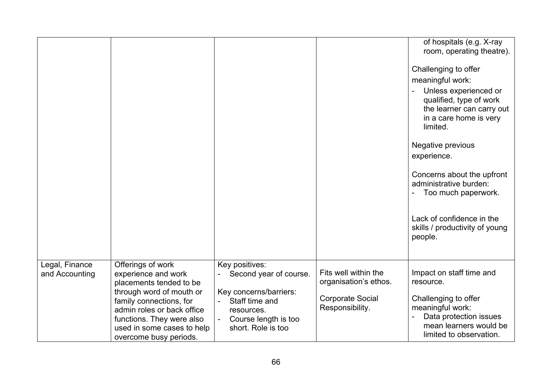|                                  |                                                                                                                                                                                                                                               |                                                                                                                                                  |                                                                                             | of hospitals (e.g. X-ray<br>room, operating theatre).                                                                                                                                                                                                                                                                                                        |
|----------------------------------|-----------------------------------------------------------------------------------------------------------------------------------------------------------------------------------------------------------------------------------------------|--------------------------------------------------------------------------------------------------------------------------------------------------|---------------------------------------------------------------------------------------------|--------------------------------------------------------------------------------------------------------------------------------------------------------------------------------------------------------------------------------------------------------------------------------------------------------------------------------------------------------------|
|                                  |                                                                                                                                                                                                                                               |                                                                                                                                                  |                                                                                             | Challenging to offer<br>meaningful work:<br>Unless experienced or<br>qualified, type of work<br>the learner can carry out<br>in a care home is very<br>limited.<br>Negative previous<br>experience.<br>Concerns about the upfront<br>administrative burden:<br>Too much paperwork.<br>Lack of confidence in the<br>skills / productivity of young<br>people. |
| Legal, Finance<br>and Accounting | Offerings of work<br>experience and work<br>placements tended to be<br>through word of mouth or<br>family connections, for<br>admin roles or back office<br>functions. They were also<br>used in some cases to help<br>overcome busy periods. | Key positives:<br>Second year of course.<br>Key concerns/barriers:<br>Staff time and<br>resources.<br>Course length is too<br>short. Role is too | Fits well within the<br>organisation's ethos.<br><b>Corporate Social</b><br>Responsibility. | Impact on staff time and<br>resource.<br>Challenging to offer<br>meaningful work:<br>Data protection issues<br>mean learners would be<br>limited to observation.                                                                                                                                                                                             |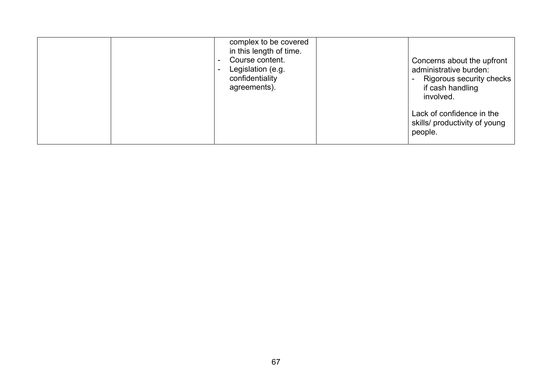| complex to be covered<br>in this length of time.<br>Course content.<br>Legislation (e.g.<br>confidentiality<br>agreements). | Concerns about the upfront<br>administrative burden:<br>Rigorous security checks<br>if cash handling<br>involved. |
|-----------------------------------------------------------------------------------------------------------------------------|-------------------------------------------------------------------------------------------------------------------|
|                                                                                                                             | Lack of confidence in the<br>skills/ productivity of young<br>people.                                             |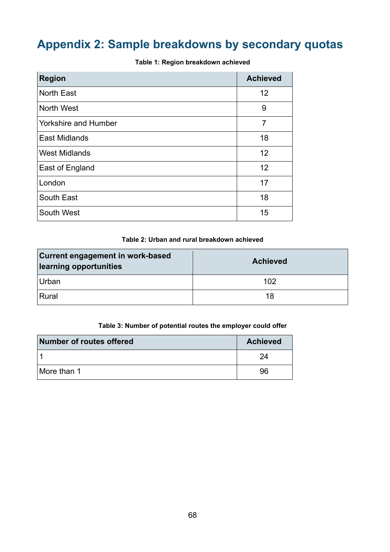# <span id="page-67-0"></span>**Appendix 2: Sample breakdowns by secondary quotas**

| <b>Region</b>               | <b>Achieved</b> |
|-----------------------------|-----------------|
| <b>North East</b>           | 12              |
| <b>North West</b>           | 9               |
| <b>Yorkshire and Humber</b> | $\overline{7}$  |
| <b>East Midlands</b>        | 18              |
| <b>West Midlands</b>        | 12              |
| East of England             | 12              |
| London                      | 17              |
| South East                  | 18              |
| South West                  | 15              |

**Table 1: Region breakdown achieved**

#### **Table 2: Urban and rural breakdown achieved**

| <b>Current engagement in work-based</b><br>learning opportunities | <b>Achieved</b> |  |
|-------------------------------------------------------------------|-----------------|--|
| <b>Urban</b>                                                      | 102             |  |
| Rural                                                             | 18              |  |

#### **Table 3: Number of potential routes the employer could offer**

| Number of routes offered | <b>Achieved</b> |
|--------------------------|-----------------|
|                          | 24              |
| More than 1              | 96              |